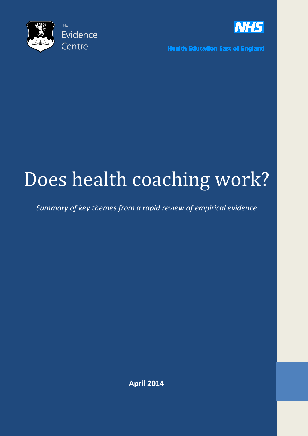



**Health Education East of England** 

# Does health coaching work?

*Summary of key themes from a rapid review of empirical evidence*

**April 2014**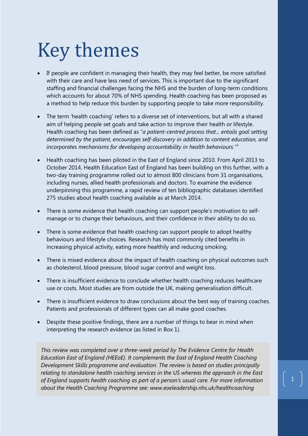# Key themes

- If people are confident in managing their health, they may feel better, be more satisfied with their care and have less need of services. This is important due to the significant staffing and financial challenges facing the NHS and the burden of long-term conditions which accounts for about 70% of NHS spending. Health coaching has been proposed as a method to help reduce this burden by supporting people to take more responsibility.
- The term 'health coaching' refers to a diverse set of interventions, but all with a shared aim of helping people set goals and take action to improve their health or lifestyle. Health coaching has been defined as "*a patient-centred process that... entails goal setting determined by the patient, encourages self-discovery in addition to content education, and incorporates mechanisms for developing accountability in health behaviours."*[1](#page-20-0)
- Health coaching has been piloted in the East of England since 2010. From April 2013 to October 2014, Health Education East of England has been building on this further, with a two-day training programme rolled out to almost 800 clinicians from 31 organisations, including nurses, allied health professionals and doctors. To examine the evidence underpinning this programme, a rapid review of ten bibliographic databases identified 275 studies about health coaching available as at March 2014.
- There is some evidence that health coaching can support people's motivation to selfmanage or to change their behaviours, and their confidence in their ability to do so.
- There is some evidence that health coaching can support people to adopt healthy behaviours and lifestyle choices. Research has most commonly cited benefits in increasing physical activity, eating more healthily and reducing smoking.
- There is mixed evidence about the impact of health coaching on physical outcomes such as cholesterol, blood pressure, blood sugar control and weight loss.
- There is insufficient evidence to conclude whether health coaching reduces healthcare use or costs. Most studies are from outside the UK, making generalisation difficult.
- There is insufficient evidence to draw conclusions about the best way of training coaches. Patients and professionals of different types can all make good coaches.
- Despite these positive findings, there are a number of things to bear in mind when interpreting the research evidence (as listed in Box 1).

*This review was completed over a three-week period by The Evidence Centre for Health Education East of England (HEEoE). It complements the East of England Health Coaching Development Skills programme and evaluation. The review is based on studies principally relating to standalone health coaching services in the US whereas the approach in the East of England supports health coaching as part of a person's usual care. For more information about the Health Coaching Programme see: www.eoeleadership.nhs.uk/healthcoaching*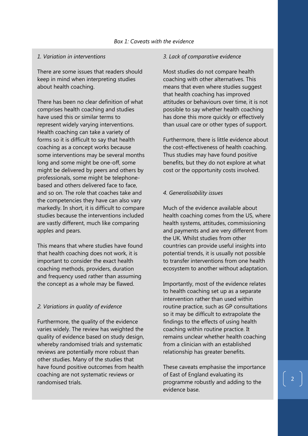#### *1. Variation in interventions*

There are some issues that readers should keep in mind when interpreting studies about health coaching.

There has been no clear definition of what comprises health coaching and studies have used this or similar terms to represent widely varying interventions. Health coaching can take a variety of forms so it is difficult to say that health coaching as a concept works because some interventions may be several months long and some might be one-off, some might be delivered by peers and others by professionals, some might be telephonebased and others delivered face to face, and so on. The role that coaches take and the competencies they have can also vary markedly. In short, it is difficult to compare studies because the interventions included are vastly different, much like comparing apples and pears.

This means that where studies have found that health coaching does not work, it is important to consider the exact health coaching methods, providers, duration and frequency used rather than assuming the concept as a whole may be flawed.

#### *2. Variations in quality of evidence*

Furthermore, the quality of the evidence varies widely. The review has weighted the quality of evidence based on study design, whereby randomised trials and systematic reviews are potentially more robust than other studies. Many of the studies that have found positive outcomes from health coaching are not systematic reviews or randomised trials.

#### *3. Lack of comparative evidence*

Most studies do not compare health coaching with other alternatives. This means that even where studies suggest that health coaching has improved attitudes or behaviours over time, it is not possible to say whether health coaching has done this more quickly or effectively than usual care or other types of support.

Furthermore, there is little evidence about the cost-effectiveness of health coaching. Thus studies may have found positive benefits, but they do not explore at what cost or the opportunity costs involved.

#### *4. Generalisability issues*

Much of the evidence available about health coaching comes from the US, where health systems, attitudes, commissioning and payments and are very different from the UK. Whilst studies from other countries can provide useful insights into potential trends, it is usually not possible to transfer interventions from one health ecosystem to another without adaptation.

Importantly, most of the evidence relates to health coaching set up as a separate intervention rather than used within routine practice, such as GP consultations so it may be difficult to extrapolate the findings to the effects of using health coaching within routine practice. It remains unclear whether health coaching from a clinician with an established relationship has greater benefits.

These caveats emphasise the importance of East of England evaluating its programme robustly and adding to the evidence base.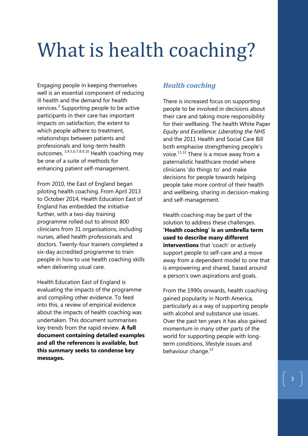# What is health coaching?

Engaging people in keeping themselves well is an essential component of reducing ill health and the demand for health services. $2$  Supporting people to be active participants in their care has important impacts on satisfaction, the extent to which people adhere to treatment, relationships between patients and professionals and long-term health outcomes. [3](#page-21-1),[4](#page-21-2),[5,](#page-21-3)[6,](#page-21-4)[7](#page-21-5),[8](#page-21-6),[9,](#page-21-7)[10](#page-21-8) Health coaching may be one of a suite of methods for enhancing patient self-management.

From 2010, the East of England began piloting health coaching. From April 2013 to October 2014, Health Education East of England has embedded the initiative further, with a two-day training programme rolled out to almost 800 clinicians from 31 organisations, including nurses, allied health professionals and doctors. Twenty-four trainers completed a six-day accredited programme to train people in how to use health coaching skills when delivering usual care.

Health Education East of England is evaluating the impacts of the programme and compiling other evidence. To feed into this, a review of empirical evidence about the impacts of health coaching was undertaken. This document summarises key trends from the rapid review. **A full document containing detailed examples and all the references is available, but this summary seeks to condense key messages.**

## *Health coaching*

There is increased focus on supporting people to be involved in decisions about their care and taking more responsibility for their wellbeing. The health White Paper *Equity and Excellence: Liberating the NHS* and the 2011 Health and Social Care Bill both emphasise strengthening people's voice.<sup>[11,](#page-21-9)[12](#page-21-10)</sup> There is a move away from a paternalistic healthcare model where clinicians 'do things to' and make decisions for people towards helping people take more control of their health and wellbeing, sharing in decision-making and self-management.

Health coaching may be part of the solution to address these challenges. **'Health coaching' is an umbrella term used to describe many different interventions** that 'coach' or actively support people to self-care and a move away from a dependent model to one that is empowering and shared, based around a person's own aspirations and goals.

From the 1990s onwards, health coaching gained popularity in North America, particularly as a way of supporting people with alcohol and substance use issues. Over the past ten years it has also gained momentum in many other parts of the world for supporting people with longterm conditions, lifestyle issues and behaviour change.<sup>[13](#page-21-11)</sup>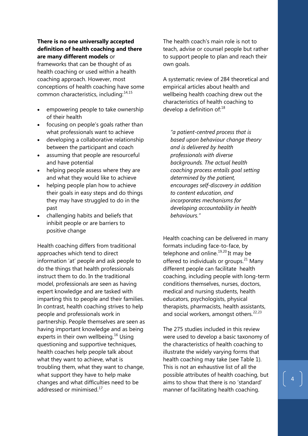### **There is no one universally accepted definition of health coaching and there are many different models** or

frameworks that can be thought of as health coaching or used within a health coaching approach. However, most conceptions of health coaching have some common characteristics, including:[14,](#page-22-0)[15](#page-22-1)

- empowering people to take ownership of their health
- focusing on people's goals rather than what professionals want to achieve
- developing a collaborative relationship between the participant and coach
- assuming that people are resourceful and have potential
- helping people assess where they are and what they would like to achieve
- helping people plan how to achieve their goals in easy steps and do things they may have struggled to do in the past
- challenging habits and beliefs that inhibit people or are barriers to positive change

Health coaching differs from traditional approaches which tend to direct information 'at' people and ask people to do the things that health professionals instruct them to do. In the traditional model, professionals are seen as having expert knowledge and are tasked with imparting this to people and their families. In contrast, health coaching strives to help people and professionals work in partnership. People themselves are seen as having important knowledge and as being experts in their own wellbeing.<sup>[16](#page-22-2)</sup> Using questioning and supportive techniques, health coaches help people talk about what they want to achieve, what is troubling them, what they want to change, what support they have to help make changes and what difficulties need to be addressed or minimised<sup>[17](#page-22-3)</sup>

The health coach's main role is not to teach, advise or counsel people but rather to support people to plan and reach their own goals.

A systematic review of 284 theoretical and empirical articles about health and wellbeing health coaching drew out the characteristics of health coaching to develop a definition of:<sup>[18](#page-23-0)</sup>

*"a patient-centred process that is based upon behaviour change theory and is delivered by health professionals with diverse backgrounds. The actual health coaching process entails goal setting determined by the patient, encourages self-discovery in addition to content education, and incorporates mechanisms for developing accountability in health behaviours."*

Health coaching can be delivered in many formats including face-to-face, by telephone and online.<sup>[19,](#page-23-1)[20](#page-23-2)</sup> It may be offered to individuals or groups. $^{21}$  $^{21}$  $^{21}$  Many different people can facilitate health coaching, including people with long-term conditions themselves, nurses, doctors, medical and nursing students, health educators, psychologists, physical therapists, pharmacists, health assistants, and social workers, amongst others.<sup>[22,](#page-23-4)[23](#page-23-5)</sup>

The 275 studies included in this review were used to develop a basic taxonomy of the characteristics of health coaching to illustrate the widely varying forms that health coaching may take (see Table 1). This is not an exhaustive list of all the possible attributes of health coaching, but aims to show that there is no 'standard' manner of facilitating health coaching.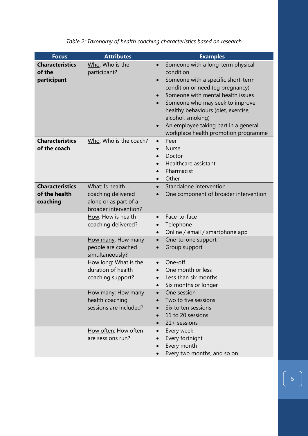| <b>Focus</b>                                        | <b>Attributes</b>                                                                       | <b>Examples</b>                                                                                                                                                                                                                                                                                                                                                                                  |
|-----------------------------------------------------|-----------------------------------------------------------------------------------------|--------------------------------------------------------------------------------------------------------------------------------------------------------------------------------------------------------------------------------------------------------------------------------------------------------------------------------------------------------------------------------------------------|
| <b>Characteristics</b><br>of the<br>participant     | Who: Who is the<br>participant?                                                         | Someone with a long-term physical<br>$\bullet$<br>condition<br>Someone with a specific short-term<br>$\bullet$<br>condition or need (eg pregnancy)<br>Someone with mental health issues<br>Someone who may seek to improve<br>$\bullet$<br>healthy behaviours (diet, exercise,<br>alcohol, smoking)<br>An employee taking part in a general<br>$\bullet$<br>workplace health promotion programme |
| <b>Characteristics</b><br>of the coach              | Who: Who is the coach?                                                                  | Peer<br>$\bullet$<br><b>Nurse</b><br>$\bullet$<br>Doctor<br>$\bullet$<br>Healthcare assistant<br>$\bullet$<br>Pharmacist<br>Other<br>$\bullet$                                                                                                                                                                                                                                                   |
| <b>Characteristics</b><br>of the health<br>coaching | What: Is health<br>coaching delivered<br>alone or as part of a<br>broader intervention? | Standalone intervention<br>One component of broader intervention                                                                                                                                                                                                                                                                                                                                 |
|                                                     | How: How is health<br>coaching delivered?                                               | Face-to-face<br>$\bullet$<br>Telephone<br>$\bullet$<br>Online / email / smartphone app<br>$\bullet$                                                                                                                                                                                                                                                                                              |
|                                                     | How many: How many<br>people are coached<br>simultaneously?                             | One-to-one support<br>$\bullet$<br>Group support<br>$\bullet$                                                                                                                                                                                                                                                                                                                                    |
|                                                     | How long: What is the<br>duration of health<br>coaching support?                        | One-off<br>$\bullet$<br>One month or less<br>$\bullet$<br>Less than six months<br>Six months or longer                                                                                                                                                                                                                                                                                           |
|                                                     | How many: How many<br>health coaching<br>sessions are included?                         | One session<br>Two to five sessions<br>Six to ten sessions<br>11 to 20 sessions<br>$21 +$ sessions                                                                                                                                                                                                                                                                                               |
|                                                     | How often: How often<br>are sessions run?                                               | Every week<br>$\bullet$<br>Every fortnight<br>Every month<br>Every two months, and so on                                                                                                                                                                                                                                                                                                         |

*Table 2: Taxonomy of health coaching characteristics based on research*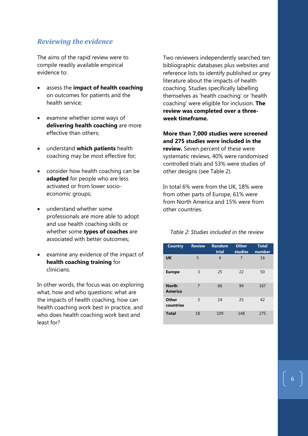## *Reviewing the evidence*

The aims of the rapid review were to compile readily available empirical evidence to:

- assess the **impact of health coaching** on outcomes for patients and the health service;
- examine whether some ways of **delivering health coaching** are more effective than others;
- understand **which patients** health coaching may be most effective for;
- consider how health coaching can be **adapted** for people who are less activated or from lower socioeconomic groups;
- understand whether some professionals are more able to adopt and use health coaching skills or whether some **types of coaches** are associated with better outcomes;
- examine any evidence of the impact of **health coaching training** for clinicians.

In other words, the focus was on exploring what, how and who questions: what are the impacts of health coaching, how can health coaching work best in practice, and who does health coaching work best and least for?

Two reviewers independently searched ten bibliographic databases plus websites and reference lists to identify published or grey literature about the impacts of health coaching. Studies specifically labelling themselves as 'health coaching' or 'health coaching' were eligible for inclusion. **The review was completed over a threeweek timeframe.**

**More than 7,000 studies were screened and 275 studies were included in the review.** Seven percent of these were systematic reviews, 40% were randomised controlled trials and 53% were studies of other designs (see Table 2).

In total 6% were from the UK, 18% were from other parts of Europe, 61% were from North America and 15% were from other countries.

*Table 2: Studies included in the review*

| <b>Country</b>                 | <b>Review</b> | <b>Random</b><br>trial | <b>Other</b><br>studies | <b>Total</b><br>number |
|--------------------------------|---------------|------------------------|-------------------------|------------------------|
| <b>UK</b>                      | 5             | 4                      | 7                       | 16                     |
| <b>Europe</b>                  | 3             | 25                     | 22                      | 50                     |
| <b>North</b><br><b>America</b> | 7             | 66                     | 94                      | 167                    |
| Other<br>countries             | 3             | 14                     | 25                      | 42                     |
| <b>Total</b>                   | 18            | 109                    | 148                     | 275                    |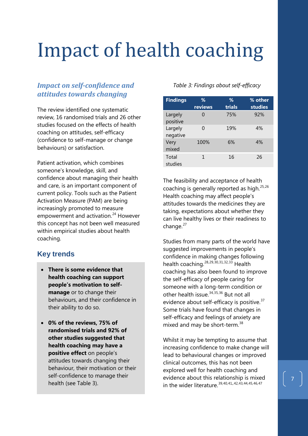# Impact of health coaching

# *Impact on self-confidence and attitudes towards changing*

The review identified one systematic review, 16 randomised trials and 26 other studies focused on the effects of health coaching on attitudes, self-efficacy (confidence to self-manage or change behaviours) or satisfaction.

Patient activation, which combines someone's knowledge, skill, and confidence about managing their health and care, is an important component of current policy. Tools such as the Patient Activation Measure (PAM) are being increasingly promoted to measure empowerment and activation.<sup>[24](#page-24-0)</sup> However this concept has not been well measured within empirical studies about health coaching.

# **Key trends**

- **There is some evidence that health coaching can support people's motivation to selfmanage** or to change their behaviours, and their confidence in their ability to do so.
- **0% of the reviews, 75% of randomised trials and 92% of other studies suggested that health coaching may have a positive effect** on people's attitudes towards changing their behaviour, their motivation or their self-confidence to manage their health (see Table 3).

### *Table 3: Findings about self-efficacy*

| ℅<br>reviews | ℅<br>trials | % other<br>studies |
|--------------|-------------|--------------------|
| O            | 75%         | 92%                |
| O            | 19%         | 4%                 |
| 100%         | 6%          | 4%                 |
| 1            | 16          | 26                 |
|              |             |                    |

The feasibility and acceptance of health coaching is generally reported as high.<sup>[25](#page-24-1),[26](#page-24-2)</sup> Health coaching may affect people's attitudes towards the medicines they are taking, expectations about whether they can live healthy lives or their readiness to change. $27$ 

Studies from many parts of the world have suggested improvements in people's confidence in making changes following health coaching.<sup>[28,](#page-24-4)[29](#page-24-5),[30,](#page-24-6)[31](#page-24-7),[32,](#page-24-8)[33](#page-24-9)</sup> Health coaching has also been found to improve the self-efficacy of people caring for someone with a long-term condition or other health issue.<sup>[34,](#page-24-10)[35](#page-24-11),[36](#page-24-12)</sup> But not all evidence about self-efficacy is positive.<sup>[37](#page-24-13)</sup> Some trials have found that changes in self-efficacy and feelings of anxiety are mixed and may be short-term.<sup>[38](#page-24-14)</sup>

Whilst it may be tempting to assume that increasing confidence to make change will lead to behavioural changes or improved clinical outcomes, this has not been explored well for health coaching and evidence about this relationship is mixed in the wider literature.<sup>[39,](#page-24-15)[40](#page-24-16),[41,](#page-24-17)[42,](#page-24-18)[43](#page-24-19),[44,](#page-24-20)[45](#page-24-21),[46,](#page-24-22)[47](#page-24-23)</sup>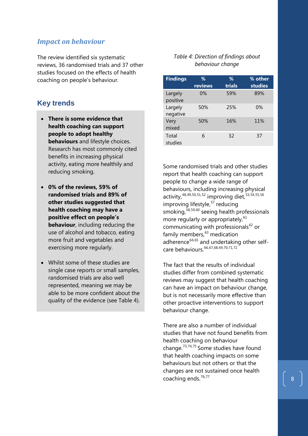### *Impact on behaviour*

The review identified six systematic reviews, 36 randomised trials and 37 other studies focused on the effects of health coaching on people's behaviour.

## **Key trends**

- **There is some evidence that health coaching can support people to adopt healthy behaviours** and lifestyle choices. Research has most commonly cited benefits in increasing physical activity, eating more healthily and reducing smoking.
- **0% of the reviews, 59% of randomised trials and 89% of other studies suggested that health coaching may have a positive effect on people's behaviour**, including reducing the use of alcohol and tobacco, eating more fruit and vegetables and exercising more regularly.
- Whilst some of these studies are single case reports or small samples, randomised trials are also well represented, meaning we may be able to be more confident about the quality of the evidence (see Table 4).

#### *Table 4: Direction of findings about behaviour change*

| <b>Findings</b>     | ℅<br>reviews | ℅<br>trials | % other<br><b>studies</b> |
|---------------------|--------------|-------------|---------------------------|
| Largely<br>positive | $0\%$        | 59%         | 89%                       |
| Largely<br>negative | 50%          | 25%         | 0%                        |
| Very<br>mixed       | 50%          | 16%         | 11%                       |
| Total<br>studies    | 6            | 32          | 37                        |

Some randomised trials and other studies report that health coaching can support people to change a wide range of behaviours, including increasing physical activity,<sup>[48,](#page-24-24)[49](#page-24-25),[50,](#page-24-26)[51](#page-24-27),[52](#page-24-28)</sup> improving diet,<sup>[53](#page-24-29),[54,](#page-24-30)[55](#page-24-31),[56](#page-24-13)</sup> improving lifestyle,<sup>[57](#page-24-32)</sup> reducing smoking,<sup>[58](#page-24-33),[59,](#page-24-34)[60](#page-24-17)</sup> seeing health professionals more regularly or appropriately, <sup>[61](#page-24-35)</sup> communicating with professionals $^{62}$  $^{62}$  $^{62}$  or family members, [63](#page-24-37) medication adherence $64,65$  $64,65$  $64,65$  and undertaking other self-care behaviours.<sup>[66](#page-24-40),[67,](#page-24-41)[68](#page-24-42),[69,](#page-24-43)[70](#page-24-44),[71](#page-24-45),[72](#page-24-10)</sup>

The fact that the results of individual studies differ from combined systematic reviews may suggest that health coaching can have an impact on behaviour change, but is not necessarily more effective than other proactive interventions to support behaviour change.

There are also a number of individual studies that have not found benefits from health coaching on behaviour change.[73](#page-24-46),[74,](#page-24-13)[75](#page-24-14) Some studies have found that health coaching impacts on some behaviours but not others or that the changes are not sustained once health coaching ends.<sup>[76,](#page-24-47)[77](#page-24-17)</sup>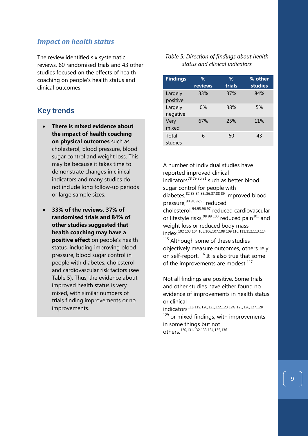## *Impact on health status*

The review identified six systematic reviews, 60 randomised trials and 43 other studies focused on the effects of health coaching on people's health status and clinical outcomes.

## **Key trends**

- **There is mixed evidence about the impact of health coaching on physical outcomes** such as cholesterol, blood pressure, blood sugar control and weight loss. This may be because it takes time to demonstrate changes in clinical indicators and many studies do not include long follow-up periods or large sample sizes.
- **33% of the reviews, 37% of randomised trials and 84% of other studies suggested that health coaching may have a positive effect** on people's health status, including improving blood pressure, blood sugar control in people with diabetes, cholesterol and cardiovascular risk factors (see Table 5). Thus, the evidence about improved health status is very mixed, with similar numbers of trials finding improvements or no improvements.

#### *Table 5: Direction of findings about health status and clinical indicators*

| <b>Findings</b>     | %<br>reviews | ℅<br>trials | % other<br>studies |
|---------------------|--------------|-------------|--------------------|
| Largely<br>positive | 33%          | 37%         | 84%                |
| Largely<br>negative | 0%           | 38%         | 5%                 |
| Very<br>mixed       | 67%          | 25%         | 11%                |
| Total<br>studies    | 6            | 60          | 43                 |

A number of individual studies have reported improved clinical indicators[78,](#page-24-48)[79](#page-24-36),[80,](#page-24-37)[81](#page-24-38) such as better blood sugar control for people with diabetes,[82,](#page-24-49)[83](#page-24-50),[84,](#page-24-51)[85](#page-24-52),,[86](#page-24-53),[87,](#page-24-54)[88](#page-24-55),[89](#page-24-56) improved blood pressure, [90,](#page-24-46) [91](#page-24-13), [92,](#page-24-32) [93](#page-24-57) reduced cholesterol,[94,](#page-24-34)[95](#page-24-58),[96,](#page-24-59)[97](#page-24-60) reduced cardiovascular or lifestyle risks, <sup>[98,](#page-24-61) [99](#page-24-39), [100](#page-24-62)</sup> reduced pain<sup>[101](#page-24-63)</sup> and weight loss or reduced body mass index. [102,](#page-24-52)[103,](#page-24-64)[104,](#page-24-45)[105](#page-24-10),[106](#page-24-65),[107,](#page-24-66)[108,](#page-24-13)[109,](#page-24-67)[110](#page-24-34),[111](#page-24-68),[112](#page-24-36),[113,](#page-24-69)[114,](#page-24-61) <sup>[115](#page-24-70)</sup> Although some of these studies objectively measure outcomes, others rely on self-report.<sup>[116](#page-24-71)</sup> It is also true that some of the improvements are modest.<sup>[117](#page-24-63)</sup>

Not all findings are positive. Some trials and other studies have either found no evidence of improvements in health status or clinical

indicators[118](#page-24-42),[119,](#page-24-43)[120,](#page-24-72)[121,](#page-24-9)[122](#page-24-73),[123](#page-24-74),[124,](#page-24-13) [125,](#page-24-14)[126,](#page-24-47)[127](#page-24-75),[128](#page-24-35), <sup>[129](#page-24-0)</sup> or mixed findings, with improvements

in some things but not others.<sup>[130](#page-24-76),[131](#page-24-77),[132](#page-24-71),[133,](#page-24-78)[134,](#page-24-42)[135,](#page-24-43)[136](#page-24-64)</sup>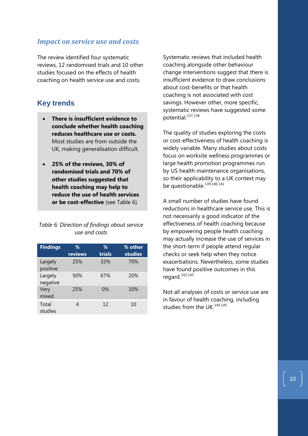### *Impact on service use and costs*

The review identified four systematic reviews, 12 randomised trials and 10 other studies focused on the effects of health coaching on health service use and costs.

## **Key trends**

- **There is insufficient evidence to conclude whether health coaching reduces healthcare use or costs.** Most studies are from outside the UK, making generalisation difficult.
- **25% of the reviews, 30% of randomised trials and 70% of other studies suggested that health coaching may help to reduce the use of health services or be cost-effective** (see Table 6).

### *Table 6: Direction of findings about service use and costs*

| <b>Findings</b>     | ℅       | ℅      | % other |
|---------------------|---------|--------|---------|
|                     | reviews | trials | studies |
| Largely<br>positive | 25%     | 33%    | 70%     |
| Largely<br>negative | 50%     | 67%    | 20%     |
| Very<br>mixed       | 25%     | 0%     | 10%     |
| Total<br>studies    |         | 12     | 10      |

Systematic reviews that included health coaching alongside other behaviour change interventions suggest that there is insufficient evidence to draw conclusions about cost-benefits or that health coaching is not associated with cost savings. However other, more specific, systematic reviews have suggested some potential.<sup>[137,](#page-24-45)[138](#page-24-56)</sup>

The quality of studies exploring the costs or cost-effectiveness of health coaching is widely variable. Many studies about costs focus on worksite wellness programmes or large health promotion programmes run by US health maintenance organisations, so their applicability to a UK context may be questionable.<sup>[139](#page-24-79),[140](#page-24-13),[141](#page-24-32)</sup>

A small number of studies have found reductions in healthcare service use. This is not necessarily a good indicator of the effectiveness of health coaching because by empowering people health coaching may actually increase the use of services in the short-term if people attend regular checks or seek help when they notice exacerbations. Nevertheless, some studies have found positive outcomes in this regard.[142](#page-24-47),[143](#page-24-75)

Not all analyses of costs or service use are in favour of health coaching, including studies from the UK.<sup>[144,](#page-24-58)[145](#page-24-59)</sup>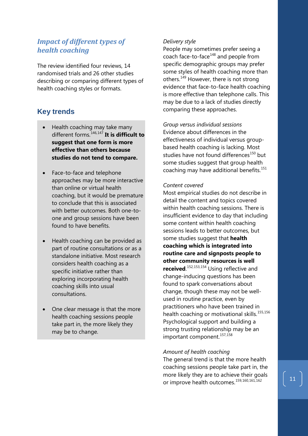## *Impact of different types of health coaching*

The review identified four reviews, 14 randomised trials and 26 other studies describing or comparing different types of health coaching styles or formats.

# **Key trends**

- Health coaching may take many different forms.[146,](#page-24-0)[147](#page-24-61) **It is difficult to suggest that one form is more effective than others because studies do not tend to compare.**
- Face-to-face and telephone approaches may be more interactive than online or virtual health coaching, but it would be premature to conclude that this is associated with better outcomes. Both one-toone and group sessions have been found to have benefits.
- Health coaching can be provided as part of routine consultations or as a standalone initiative. Most research considers health coaching as a specific initiative rather than exploring incorporating health coaching skills into usual consultations.
- One clear message is that the more health coaching sessions people take part in, the more likely they may be to change.

### *Delivery style*

People may sometimes prefer seeing a coach face-to-face<sup>[148](#page-24-70)</sup> and people from specific demographic groups may prefer some styles of health coaching more than others.<sup>[149](#page-24-49)</sup> However, there is not strong evidence that face-to-face health coaching is more effective than telephone calls. This may be due to a lack of studies directly comparing these approaches.

*Group versus individual sessions* Evidence about differences in the effectiveness of individual versus groupbased health coaching is lacking. Most studies have not found differences<sup>[150](#page-24-62)</sup> but some studies suggest that group health coaching may have additional benefits.<sup>[151](#page-24-63)</sup>

#### *Content covered*

Most empirical studies do not describe in detail the content and topics covered within health coaching sessions. There is insufficient evidence to day that including some content within health coaching sessions leads to better outcomes, but some studies suggest that **health coaching which is integrated into routine care and signposts people to other community resources is well received**. [152,](#page-24-42)[153](#page-24-80),[154](#page-24-53) Using reflective and change-inducing questions has been found to spark conversations about change, though these may not be wellused in routine practice, even by practitioners who have been trained in health coaching or motivational skills. [155](#page-24-54),[156](#page-24-9) Psychological support and building a strong trusting relationship may be an important component.<sup>[157](#page-24-73),[158](#page-24-79)</sup>

### *Amount of health coaching*

The general trend is that the more health coaching sessions people take part in, the more likely they are to achieve their goals or improve health outcomes.<sup>[159,](#page-24-81)[160,](#page-24-67)[161](#page-24-34),[162](#page-24-17)</sup>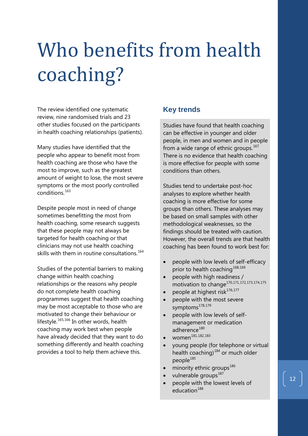# Who benefits from health coaching?

The review identified one systematic review, nine randomised trials and 23 other studies focused on the participants in health coaching relationships (patients).

Many studies have identified that the people who appear to benefit most from health coaching are those who have the most to improve, such as the greatest amount of weight to lose, the most severe symptoms or the most poorly controlled conditions.[163](#page-24-19)

Despite people most in need of change sometimes benefitting the most from health coaching, some research suggests that these people may not always be targeted for health coaching or that clinicians may not use health coaching skills with them in routine consultations.<sup>[164](#page-24-0)</sup>

Studies of the potential barriers to making change within health coaching relationships or the reasons why people do not complete health coaching programmes suggest that health coaching may be most acceptable to those who are motivated to change their behaviour or lifestyle.<sup>[165,](#page-24-38)[166](#page-24-49)</sup> In other words, health coaching may work best when people have already decided that they want to do something differently and health coaching provides a tool to help them achieve this.

# **Key trends**

Studies have found that health coaching can be effective in younger and older people, in men and women and in people from a wide range of ethnic groups.<sup>[167](#page-24-50)</sup> There is no evidence that health coaching is more effective for people with some conditions than others.

Studies tend to undertake post-hoc analyses to explore whether health coaching is more effective for some groups than others. These analyses may be based on small samples with other methodological weaknesses, so the findings should be treated with caution. However, the overall trends are that health coaching has been found to work best for:

- people with low levels of self-efficacy prior to health coaching<sup>[168,](#page-24-51)[169](#page-24-82)</sup>
- people with high readiness / motivation to change<sup>[170,](#page-24-53)[171,](#page-24-54)[172](#page-24-9),[173](#page-24-10),[174,](#page-24-83)[175](#page-24-74)</sup>
- people at highest risk<sup>[176](#page-24-13),[177](#page-24-32)</sup>
- people with the most severe symptoms<sup>[178](#page-24-33),[179](#page-24-16)</sup>
- people with low levels of selfmanagement or medication adherence<sup>[180](#page-24-58)</sup>
- women<sup>[181,](#page-24-59)[182](#page-24-36),[183](#page-24-37)</sup>
- young people (for telephone or virtual health coaching)<sup>[184](#page-24-39)</sup> or much older people<sup>[185](#page-24-40)</sup>
- minority ethnic groups<sup>[186](#page-24-62)</sup>
- vulnerable groups<sup>[187](#page-24-63)</sup>
- people with the lowest levels of education<sup>[188](#page-24-82)</sup>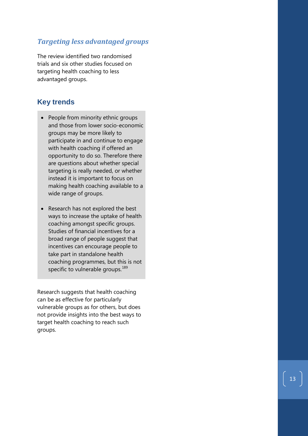## *Targeting less advantaged groups*

The review identified two randomised trials and six other studies focused on targeting health coaching to less advantaged groups .

# **Key trends**

- People from minority ethnic groups and those from lower socio -economic groups may be more likely to participate in and continue to engage with health coaching if offered an opportunity to do so. Therefore there are questions about whether special targeting is really needed, or whether instead it is important to focus on making health coaching available to a wide range of groups.
- Research has not explored the best ways to increase the uptake of health coaching amongst specific groups. Studies of financial incentives for a broad range of people suggest that incentives can encourage people to take part in standalone health coaching programmes, but this is not specific to vulnerable groups.<sup>[189](#page-24-53)</sup>

Research suggests that health coaching can be as effective for particularly vulnerable groups as for others, but does not provide insights into the best ways to target health coaching to reach such groups.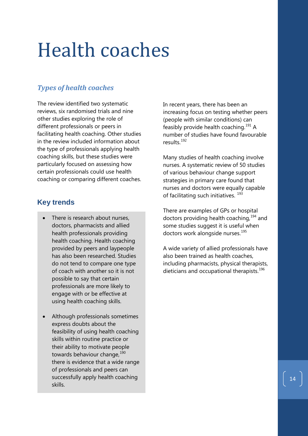# Health coaches

# *Types of health coaches*

The review identified two systematic reviews, six randomised trials and nine other studies exploring the role of different professionals or peers in facilitating health coaching. Other studies in the review included information about the type of professionals applying health coaching skills, but these studies were particularly focused on assessing how certain professionals could use health coaching or comparing different coaches.

## **Key trends**

- There is research about nurses, doctors, pharmacists and allied health professionals providing health coaching. Health coaching provided by peers and laypeople has also been researched. Studies do not tend to compare one type of coach with another so it is not possible to say that certain professionals are more likely to engage with or be effective at using health coaching skills.
- Although professionals sometimes express doubts about the feasibility of using health coaching skills within routine practice or their ability to motivate people towards behaviour change, [190](#page-24-54) there is evidence that a wide range of professionals and peers can successfully apply health coaching skills.

In recent years, there has been an increasing focus on testing whether peers (people with similar conditions) can feasibly provide health coaching.<sup>[191](#page-24-55)</sup> A number of studies have found favourable results<sup>[192](#page-24-10)</sup>

Many studies of health coaching involve nurses. A systematic review of 50 studies of various behaviour change support strategies in primary care found that nurses and doctors were equally capable of facilitating such initiatives.<sup>[193](#page-24-65)</sup>

There are examples of GPs or hospital doctors providing health coaching, <sup>[194](#page-24-66)</sup> and some studies suggest it is useful when doctors work alongside nurses.<sup>[195](#page-24-13)</sup>

A wide variety of allied professionals have also been trained as health coaches, including pharmacists, physical therapists, dieticians and occupational therapists.<sup>[196](#page-24-33)</sup>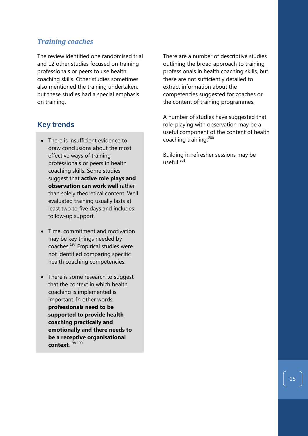## *Training coaches*

The review identified one randomised trial and 12 other studies focused on training professionals or peers to use health coaching skills. Other studies sometimes also mentioned the training undertaken, but these studies had a special emphasis on training.

# **Key trends**

- There is insufficient evidence to draw conclusions about the most effective ways of training professionals or peers in health coaching skills. Some studies suggest that **active role plays and observation can work well** rather than solely theoretical content. Well evaluated training usually lasts at least two to five days and includes follow-up support.
- Time, commitment and motivation may be key things needed by coaches.[197](#page-24-16) Empirical studies were not identified comparing specific health coaching competencies.
- There is some research to suggest that the context in which health coaching is implemented is important. In other words, **professionals need to be supported to provide health coaching practically and emotionally and there needs to be a receptive organisational context**. [198,](#page-24-58)[199](#page-24-59)

There are a number of descriptive studies outlining the broad approach to training professionals in health coaching skills, but these are not sufficiently detailed to extract information about the competencies suggested for coaches or the content of training programmes.

A number of studies have suggested that role-playing with observation may be a useful component of the content of health coaching training.<sup>[200](#page-24-69)</sup>

Building in refresher sessions may be useful. $^{201}$  $^{201}$  $^{201}$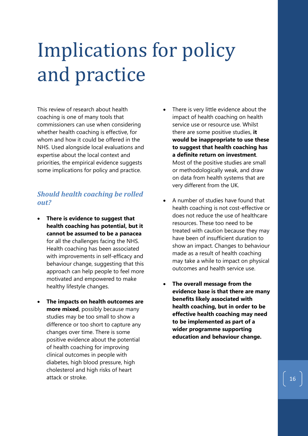# Implications for policy and practice

This review of research about health coaching is one of many tools that commissioners can use when considering whether health coaching is effective, for whom and how it could be offered in the NHS. Used alongside local evaluations and expertise about the local context and priorities, the empirical evidence suggests some implications for policy and practice.

# *Should health coaching be rolled out?*

- **There is evidence to suggest that health coaching has potential, but it cannot be assumed to be a panacea** for all the challenges facing the NHS. Health coaching has been associated with improvements in self-efficacy and behaviour change, suggesting that this approach can help people to feel more motivated and empowered to make healthy lifestyle changes.
- **The impacts on health outcomes are more mixed**, possibly because many studies may be too small to show a difference or too short to capture any changes over time. There is some positive evidence about the potential of health coaching for improving clinical outcomes in people with diabetes, high blood pressure, high cholesterol and high risks of heart attack or stroke.
- There is very little evidence about the impact of health coaching on health service use or resource use. Whilst there are some positive studies, **it would be inappropriate to use these to suggest that health coaching has a definite return on investment**. Most of the positive studies are small or methodologically weak, and draw on data from health systems that are very different from the UK.
- A number of studies have found that health coaching is not cost-effective or does not reduce the use of healthcare resources. These too need to be treated with caution because they may have been of insufficient duration to show an impact. Changes to behaviour made as a result of health coaching may take a while to impact on physical outcomes and health service use.
- **The overall message from the evidence base is that there are many benefits likely associated with health coaching, but in order to be effective health coaching may need to be implemented as part of a wider programme supporting education and behaviour change.**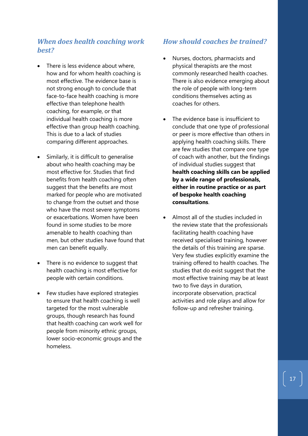## *When does health coaching work best?*

- There is less evidence about where. how and for whom health coaching is most effective. The evidence base is not strong enough to conclude that face-to-face health coaching is more effective than telephone health coaching, for example, or that individual health coaching is more effective than group health coaching. This is due to a lack of studies comparing different approaches.
- Similarly, it is difficult to generalise about who health coaching may be most effective for. Studies that find benefits from health coaching often suggest that the benefits are most marked for people who are motivated to change from the outset and those who have the most severe symptoms or exacerbations. Women have been found in some studies to be more amenable to health coaching than men, but other studies have found that men can benefit equally.
- There is no evidence to suggest that health coaching is most effective for people with certain conditions.
- Few studies have explored strategies to ensure that health coaching is well targeted for the most vulnerable groups, though research has found that health coaching can work well for people from minority ethnic groups, lower socio-economic groups and the homeless.

## *How should coaches be trained?*

- Nurses, doctors, pharmacists and physical therapists are the most commonly researched health coaches. There is also evidence emerging about the role of people with long-term conditions themselves acting as coaches for others.
- The evidence base is insufficient to conclude that one type of professional or peer is more effective than others in applying health coaching skills. There are few studies that compare one type of coach with another, but the findings of individual studies suggest that **health coaching skills can be applied by a wide range of professionals, either in routine practice or as part of bespoke health coaching consultations**.
- Almost all of the studies included in the review state that the professionals facilitating health coaching have received specialised training, however the details of this training are sparse. Very few studies explicitly examine the training offered to health coaches. The studies that do exist suggest that the most effective training may be at least two to five days in duration, incorporate observation, practical activities and role plays and allow for follow-up and refresher training.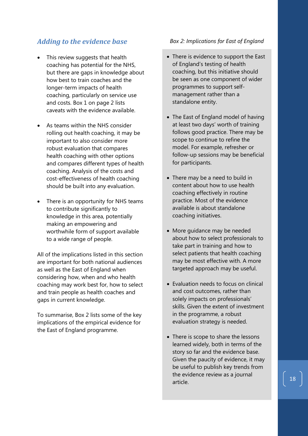# *Adding to the evidence base*

- This review suggests that health coaching has potential for the NHS, but there are gaps in knowledge about how best to train coaches and the longer-term impacts of health coaching, particularly on service use and costs. Box 1 on page 2 lists caveats with the evidence available.
- As teams within the NHS consider rolling out health coaching, it may be important to also consider more robust evaluation that compares health coaching with other options and compares different types of health coaching. Analysis of the costs and cost-effectiveness of health coaching should be built into any evaluation.
- There is an opportunity for NHS teams to contribute significantly to knowledge in this area, potentially making an empowering and worthwhile form of support available to a wide range of people.

All of the implications listed in this section are important for both national audiences as well as the East of England when considering how, when and who health coaching may work best for, how to select and train people as health coaches and gaps in current knowledge.

To summarise, Box 2 lists some of the key implications of the empirical evidence for the East of England programme.

#### *Box 2: Implications for East of England*

- There is evidence to support the East of England's testing of health coaching, but this initiative should be seen as one component of wider programmes to support selfmanagement rather than a standalone entity.
- The East of England model of having at least two days' worth of training follows good practice. There may be scope to continue to refine the model. For example, refresher or follow-up sessions may be beneficial for participants.
- There may be a need to build in content about how to use health coaching effectively in routine practice. Most of the evidence available is about standalone coaching initiatives.
- More guidance may be needed about how to select professionals to take part in training and how to select patients that health coaching may be most effective with. A more targeted approach may be useful.
- Evaluation needs to focus on clinical and cost outcomes, rather than solely impacts on professionals' skills. Given the extent of investment in the programme, a robust evaluation strategy is needed.
- There is scope to share the lessons learned widely, both in terms of the story so far and the evidence base. Given the paucity of evidence, it may be useful to publish key trends from the evidence review as a journal article.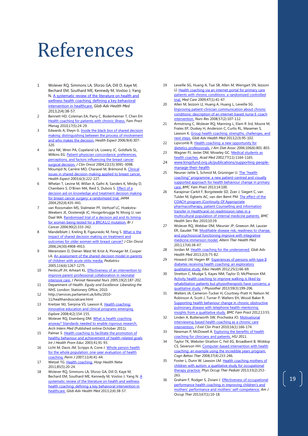# References

- 1 Wolever RQ, Simmons LA, Sforzo GA, Dill D, Kaye M, Bechard EM, Southard ME, Kennedy M, Vosloo J, Yang N[. A systematic review of the literature on health and](http://www.ncbi.nlm.nih.gov/pubmed/24416684)  [wellness health coaching: defining a](http://www.ncbi.nlm.nih.gov/pubmed/24416684) key behavioral [intervention in healthcare.](http://www.ncbi.nlm.nih.gov/pubmed/24416684) *Glob Adv Health Med* 2013;2(4):38-57.
- 2 Bennett HD, Coleman EA, Parry C[, Bodenheimer T,](http://www.ncbi.nlm.nih.gov/pubmed?term=Bodenheimer%20T%5BAuthor%5D&cauthor=true&cauthor_uid=21121566) [Chen EH.](http://www.ncbi.nlm.nih.gov/pubmed?term=Chen%20EH%5BAuthor%5D&cauthor=true&cauthor_uid=21121566)  [Health coaching for patients with chronic illness.](http://www.ncbi.nlm.nih.gov/pubmed/21121566) *Fam Pract Manag* 2010;17(5):24-29.
- 3 Edwards A, Elwyn G. [Inside the black box of shared decision](http://www.ncbi.nlm.nih.gov/pubmed/17083558)  [making: distinguishing between the process of involvement](http://www.ncbi.nlm.nih.gov/pubmed/17083558)  [and who makes the decision.](http://www.ncbi.nlm.nih.gov/pubmed/17083558) *Health Expect* 2006;9(4):307- 320.
- 4 Janz NK, Wren PA, Copeland LA[, Lowery JC,](http://www.ncbi.nlm.nih.gov/pubmed?term=Lowery%20JC%5BAuthor%5D&cauthor=true&cauthor_uid=15284259) [Goldfarb SL,](http://www.ncbi.nlm.nih.gov/pubmed?term=Goldfarb%20SL%5BAuthor%5D&cauthor=true&cauthor_uid=15284259)  [Wilkins EG.](http://www.ncbi.nlm.nih.gov/pubmed?term=Wilkins%20EG%5BAuthor%5D&cauthor=true&cauthor_uid=15284259) [Patient-physician concordance: preferences,](http://www.ncbi.nlm.nih.gov/pubmed/15284259) [perceptions, and factors influencing the breast cancer](http://www.ncbi.nlm.nih.gov/pubmed/15284259)  [surgical decision.](http://www.ncbi.nlm.nih.gov/pubmed/15284259) *J Clin Oncol* 2004;22(15):3091-3098.
- 5 Moumjid N, Carrère MO, Charavel M, Brémond A. Clinical in shared decision-making applied to breast cancer. *Health Expect* 2003;6(3):222-227.
- 6 Whelan T, Levine M, Willan A[, Gafni A,](http://www.ncbi.nlm.nih.gov/pubmed?term=Gafni%20A%5BAuthor%5D&cauthor=true&cauthor_uid=15280341) [Sanders K,](http://www.ncbi.nlm.nih.gov/pubmed?term=Sanders%20K%5BAuthor%5D&cauthor=true&cauthor_uid=15280341) [Mirsky D,](http://www.ncbi.nlm.nih.gov/pubmed?term=Mirsky%20D%5BAuthor%5D&cauthor=true&cauthor_uid=15280341)  [Chambers S,](http://www.ncbi.nlm.nih.gov/pubmed?term=Chambers%20S%5BAuthor%5D&cauthor=true&cauthor_uid=15280341) [O'Brien MA,](http://www.ncbi.nlm.nih.gov/pubmed?term=O) [Reid S,](http://www.ncbi.nlm.nih.gov/pubmed?term=Reid%20S%5BAuthor%5D&cauthor=true&cauthor_uid=15280341) [Dubois S.](http://www.ncbi.nlm.nih.gov/pubmed?term=Dubois%20S%5BAuthor%5D&cauthor=true&cauthor_uid=15280341) [Effect of a](http://www.ncbi.nlm.nih.gov/pubmed/15280341)  [decision aid on knowledge and treatment decision making](http://www.ncbi.nlm.nih.gov/pubmed/15280341)  [for breast cancer surgery: a randomized trial.](http://www.ncbi.nlm.nih.gov/pubmed/15280341) *JAMA* 2004;292(4):435-441.
- 7 van Roosmalen MS, Stalmeier PF, Verhoef LC[, Hoekstra-](http://www.ncbi.nlm.nih.gov/pubmed?term=Hoekstra-Weebers%20JE%5BAuthor%5D&cauthor=true&cauthor_uid=14735173)[Weebers JE,](http://www.ncbi.nlm.nih.gov/pubmed?term=Hoekstra-Weebers%20JE%5BAuthor%5D&cauthor=true&cauthor_uid=14735173) [Oosterwijk JC,](http://www.ncbi.nlm.nih.gov/pubmed?term=Oosterwijk%20JC%5BAuthor%5D&cauthor=true&cauthor_uid=14735173) [Hoogerbrugge N,](http://www.ncbi.nlm.nih.gov/pubmed?term=Hoogerbrugge%20N%5BAuthor%5D&cauthor=true&cauthor_uid=14735173) [Moog U,](http://www.ncbi.nlm.nih.gov/pubmed?term=Moog%20U%5BAuthor%5D&cauthor=true&cauthor_uid=14735173) [van](http://www.ncbi.nlm.nih.gov/pubmed?term=van%20Daal%20WA%5BAuthor%5D&cauthor=true&cauthor_uid=14735173)  [Daal WA.](http://www.ncbi.nlm.nih.gov/pubmed?term=van%20Daal%20WA%5BAuthor%5D&cauthor=true&cauthor_uid=14735173) [Randomised trial of a decision aid and its timing](http://www.ncbi.nlm.nih.gov/pubmed/14735173)  [for women being tested for a BRCA1/2 mutation.](http://www.ncbi.nlm.nih.gov/pubmed/14735173) *Br J Cancer* 2004;90(2):333-342.
- 8 Mandelblatt J, Kreling B, Figeuriedo M, Feng S. What is the [impact of shared decision making on treatment and](http://www.ncbi.nlm.nih.gov/pubmed/16983102)  [outcomes for older women with breast cancer?](http://www.ncbi.nlm.nih.gov/pubmed/16983102) *J Clin Oncol* 2006;24(30):4908-4913.
- 9 Merenstein D, Diener-West M, Krist A, [Pinneger M,](http://www.ncbi.nlm.nih.gov/pubmed?term=Pinneger%20M%5BAuthor%5D&cauthor=true&cauthor_uid=16322146) [Cooper](http://www.ncbi.nlm.nih.gov/pubmed?term=Cooper%20LA%5BAuthor%5D&cauthor=true&cauthor_uid=16322146)  [LA.](http://www.ncbi.nlm.nih.gov/pubmed?term=Cooper%20LA%5BAuthor%5D&cauthor=true&cauthor_uid=16322146) [An assessment of the shared-decision model in parents](http://www.ncbi.nlm.nih.gov/pubmed/16322146)  [of children with acute otitis media.](http://www.ncbi.nlm.nih.gov/pubmed/16322146) *Pediatrics* 2005;116(6):1267-1275.
- 10 Penticuff JH, Arheart KL. **Effectiveness of an intervention to** [improve parent-professional collaboration in neonatal](http://www.ncbi.nlm.nih.gov/pubmed/15923969)  [intensive care.](http://www.ncbi.nlm.nih.gov/pubmed/15923969) *J Perinat Neonatal Nurs* 2005;19(2):187-202.
- 11 Department of Health. *Equity and Excellence: Liberating the NHS.* London: Stationery Office, 2010.
- 12 http://services.parliament.uk/bills/2010- 11/healthandsocialcare.html
- 13 Kreitzer MJ, Sierpina VS, Lawson K[. Health coaching:](http://www.ncbi.nlm.nih.gov/pubmed/18316060)  [innovative education and clinical programs emerging.](http://www.ncbi.nlm.nih.gov/pubmed/18316060) *Explore* 2008;4(2):154-155.
- 14 Wolever RQ, Eisenberg DM. What is health coaching [anyway? Standards needed to enable rigorous research.](http://www.ncbi.nlm.nih.gov/pubmed/21986348) *Arch Intern Med* (Published online October 2011).
- 15 Palmer S[. Health coaching to facilitate the promotion of](http://www.tandfonline.com/doi/abs/10.1080/14635240.2003.10806231#.U1Zf_mAU_IU)  [healthy behaviour and achievement of health-related goals.](http://www.tandfonline.com/doi/abs/10.1080/14635240.2003.10806231#.U1Zf_mAU_IU)  *Int J Health Prom Educ* 2003;41;91-93.
- 16 Licht M, Davis JM, Scripps A, Cone J. Whole person health [for the whole population: one-year evaluation of health](http://www.ncbi.nlm.nih.gov/pubmed/21412480)  [coaching.](http://www.ncbi.nlm.nih.gov/pubmed/21412480) *Perm J* 2007;11(4):41-44.
- 17 Wetzel TG[. Health coaching.](http://www.ncbi.nlm.nih.gov/pubmed/21682235) *Hosp Health Netw* 2011;85(5):20-24.
- 18 Wolever RQ, Simmons LA, Sforzo GA, Dill D, Kaye M, Bechard EM, Southard ME, Kennedy M, Vosloo J, Yang N. A [systematic review of the literature on health and wellness](http://www.ncbi.nlm.nih.gov/pubmed/24416684)  [health coaching: defining a key behavioral intervention in](http://www.ncbi.nlm.nih.gov/pubmed/24416684)  [healthcare.](http://www.ncbi.nlm.nih.gov/pubmed/24416684) *Glob Adv Health Med* 2013;2(4):38-57.
- 19 Leveille SG, Huang A, Tsai SB[, Allen M,](http://www.ncbi.nlm.nih.gov/pubmed?term=Allen%20M%5BAuthor%5D&cauthor=true&cauthor_uid=19106729) [Weingart SN,](http://www.ncbi.nlm.nih.gov/pubmed?term=Weingart%20SN%5BAuthor%5D&cauthor=true&cauthor_uid=19106729) [Iezzoni](http://www.ncbi.nlm.nih.gov/pubmed?term=Iezzoni%20LI%5BAuthor%5D&cauthor=true&cauthor_uid=19106729)  [LI.](http://www.ncbi.nlm.nih.gov/pubmed?term=Iezzoni%20LI%5BAuthor%5D&cauthor=true&cauthor_uid=19106729) [Health coaching via an internet portal for primary care](http://www.ncbi.nlm.nih.gov/pubmed/19106729)  [patients with chronic conditions: a randomized controlled](http://www.ncbi.nlm.nih.gov/pubmed/19106729)  [trial.](http://www.ncbi.nlm.nih.gov/pubmed/19106729) *Med Care* 2009;47(1):41-47.
- 20 Allen M, Iezzoni LI, Huang A[, Huang L,](http://www.ncbi.nlm.nih.gov/pubmed?term=Huang%20L%5BAuthor%5D&cauthor=true&cauthor_uid=18347482) [Leveille SG.](http://www.ncbi.nlm.nih.gov/pubmed?term=Leveille%20SG%5BAuthor%5D&cauthor=true&cauthor_uid=18347482)  [Improving patient-clinician communication about chronic](http://www.ncbi.nlm.nih.gov/pubmed/18347482)  [conditions: description of an internet-based nurse E-coach](http://www.ncbi.nlm.nih.gov/pubmed/18347482)  [intervention.](http://www.ncbi.nlm.nih.gov/pubmed/18347482) *Nurs Res* 2008;57(2):107-112.
- 21 Armstrong C, Wolever RQ, Manning L, Elam R 3rd, Moore M, Frates EP, Duskey H, Anderson C, Curtis RL, Masemer S, Lawson K. Group health coaching: strengths, challenges [next steps.](http://www.ncbi.nlm.nih.gov/pubmed/24416678) *Glob Adv Health Med* 2013;2(3):95-102.
- 22 Lipscomb R. Health coaching: a new opportunity for [dietetics professionals.](http://www.ncbi.nlm.nih.gov/pubmed/16720119) *J Am Diet Assoc* 2006;106(6):801-803.
- 23 Wagner PJ, Jester DM, Moseley GC. Medical students as [health coaches.](http://www.ncbi.nlm.nih.gov/pubmed/12431943) *Acad Med* 2002;77(11):1164-1165.
- 24 www.kingsfund.org.uk/publications/supporting-peoplemanage-their-health
- 25 Neuner-Jehle S, Schmid M, Grüninger U. The "health [coaching" programme: a new patient-centred and visually](http://www.ncbi.nlm.nih.gov/pmc/articles/pmid/23865509/)  supported approach for health behaviour change in primary [care.](http://www.ncbi.nlm.nih.gov/pmc/articles/pmid/23865509/) *BMC Fam Pract* 2013;14:100.
- 26 Karapinar-Carkit F, Borgsteede SD, Zoer J, Siegert C, van Tulder M, Egberts AC, van den Bemt PM[. The effect of the](http://www.ncbi.nlm.nih.gov/pmc/articles/pmid/20156368/)  [COACH program \(Continuity Of Appropriate](http://www.ncbi.nlm.nih.gov/pmc/articles/pmid/20156368/)  [pharmacotherapy, patient Counselling and information](http://www.ncbi.nlm.nih.gov/pmc/articles/pmid/20156368/) [transfer in Healthcare\) on readmission rates in a](http://www.ncbi.nlm.nih.gov/pmc/articles/pmid/20156368/)  [multicultural population of internal medicine patients.](http://www.ncbi.nlm.nih.gov/pmc/articles/pmid/20156368/) *BMC Health Serv Res* 2010;10:39.
- 27 Wolever RQ, Webber DM, Meunier JP, Greeson JM, Lausier ER, Gaudet TW. [Modifiable disease risk, readiness to change,](http://www.ncbi.nlm.nih.gov/pmc/articles/pmid/22314632/)  [and psychosocial functioning improve with integrative](http://www.ncbi.nlm.nih.gov/pmc/articles/pmid/22314632/)  [medicine immersion model.](http://www.ncbi.nlm.nih.gov/pmc/articles/pmid/22314632/) *Altern Ther Health Med* 2011;17(4):38-47.
- 28 Jordan M[. Health coaching for the underserved.](http://www.ncbi.nlm.nih.gov/pubmed/24416675) *Glob Adv Health Med* 2013;2(3):75-82.
- 29 Howard LM, Hagen BF. Experiences of persons with type II diabetes [receiving health coaching: an exploratory](http://www.ncbi.nlm.nih.gov/pubmed/23787387)  [qualitative study.](http://www.ncbi.nlm.nih.gov/pubmed/23787387) *Educ Health* 2012;25(1):66-69.
- 30 Stretton C, Mudge S, Kayes NM, Taylor D, McPherson KM. [Activity health coaching to improve walking is](http://www.ncbi.nlm.nih.gov/pubmed/23896335) liked by [rehabilitation patients but physiotherapists have concerns: a](http://www.ncbi.nlm.nih.gov/pubmed/23896335)  [qualitative study.](http://www.ncbi.nlm.nih.gov/pubmed/23896335) *J Physiother* 2013;59(3):199-206.
- 31 Walters JA, Cameron-Tucker H, Courtney-Pratt H, Nelson M, Robinson A, Scott J, Turner P, Walters EH, Wood-Baker R. [Supporting health behaviour change in chronic obstructive](http://www.ncbi.nlm.nih.gov/pmc/articles/pmid/22694996/)  [pulmonary disease with telephone health-mentoring:](http://www.ncbi.nlm.nih.gov/pmc/articles/pmid/22694996/)  [insights from a qualitative study.](http://www.ncbi.nlm.nih.gov/pmc/articles/pmid/22694996/) *BMC Fam Pract* 2012;13:55.
- 32 Linden A, Butterworth SW, Prochaska JO[. Motivational](http://www.ncbi.nlm.nih.gov/pubmed/20367828)  [interviewing-based health coaching as a chronic care](http://www.ncbi.nlm.nih.gov/pubmed/20367828)  [intervention.](http://www.ncbi.nlm.nih.gov/pubmed/20367828) *J Eval Clin Pract* 2010;16(1):166-174.
- 33 Newman P, McDowell A. [Exploring the benefits of health](http://www.hsj.co.uk/resource-centre/best-practice/flexible-working-and-skills-resources/exploring-the-benefits-of-coaching-for-clinicians-and-patients/5035414.article#.UzdJ7GCPPIU)  [coaching for clinicians](http://www.hsj.co.uk/resource-centre/best-practice/flexible-working-and-skills-resources/exploring-the-benefits-of-coaching-for-clinicians-and-patients/5035414.article#.UzdJ7GCPPIU) and patients. *HSJ* 2011.
- 34 Taylor TK, Webster-Stratton C, Feil EG, Broadbent B, Widdop CS, Severson HH[. Computer-based intervention with health](http://www.ncbi.nlm.nih.gov/pmc/articles/pmid/18803072/)  [coaching: an example using the incredible years program.](http://www.ncbi.nlm.nih.gov/pmc/articles/pmid/18803072/) *Cogn Behav Ther* 2008;37(4):233-246.
- 35 Foster L, Dunn W, Lawson LM. [Health coaching mothers of](http://www.ncbi.nlm.nih.gov/pubmed/23253014)  [children with autism: a qualitative study for occupational](http://www.ncbi.nlm.nih.gov/pubmed/23253014)  [therapy practice.](http://www.ncbi.nlm.nih.gov/pubmed/23253014) *Phys Occup Ther Pediatr* 2013;33(2):253- 263.
- 36 Graham F, Rodger S, Ziviani J. **Effectiveness of occupational** [performance health coaching in improving children's and](http://www.ncbi.nlm.nih.gov/pubmed/23245778)  [mothers' performance and mothers' self-competence.](http://www.ncbi.nlm.nih.gov/pubmed/23245778) *Am J Occup Ther* 2013;67(1):10-18.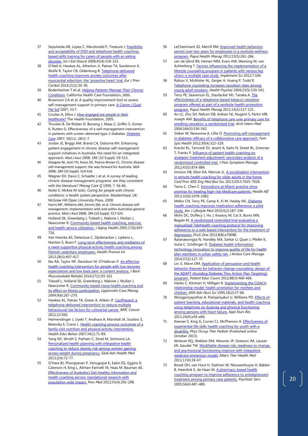- 37 Sepulveda AR, Lopez C, Macdonald P, Treasure J[. Feasibility](http://www.ncbi.nlm.nih.gov/pubmed/18176950)  [and acceptability of DVD and telephone health coaching](http://www.ncbi.nlm.nih.gov/pubmed/18176950) [based skills training for carers of people with an eating](http://www.ncbi.nlm.nih.gov/pubmed/18176950)  [disorder.](http://www.ncbi.nlm.nih.gov/pubmed/18176950) *Int J Eat Disord* 2008;41(4):318 -325.
- 38 O'Neil A, Hawkes AL, Atherton JJ, Patrao TA, Sanderson K, Wolfe R, Taylor CB, Oldenburg B[. Telephone](http://www.ncbi.nlm.nih.gov/pubmed/22956633)-delivered [health coaching improves anxiety outcomes after](http://www.ncbi.nlm.nih.gov/pubmed/22956633)  [myocardial infarction: the 'proactive heart' trial.](http://www.ncbi.nlm.nih.gov/pubmed/22956633) *Eur J Prev Cardiol* 2014;21(1):30 -38.
- <span id="page-20-0"></span>39 Bodenheimer T et al . *[Helping Patients Manage Their Chronic](http://www.chcf.org/topics/chronicdisease/index.cfm?itemID=111768)  [Conditions](http://www.chcf.org/topics/chronicdisease/index.cfm?itemID=111768)*. California Health Care Foundation, 2005.
- 40 Brownson CA et al. A quality improvement tool to assess self -management support in primary care. *[Jt Comm J Qual](http://www.jcrinc.com/26813/newsletters/32/)  [Pat Saf](http://www.jcrinc.com/26813/newsletters/32/)* 2007; 33:7.
- 41 Coulter A, Ellins J. *[How engaged are people in their](http://www.health.org.uk/publications/research_reports/how_engaged_are.html)  [healthcare?](http://www.health.org.uk/publications/research_reports/how_engaged_are.html)* The Health Foundation, 2005.
- <sup>42</sup> [Thoolen B,](http://www.ncbi.nlm.nih.gov/pubmed?term=%22Thoolen%20B%22%5BAuthor%5D&itool=EntrezSystem2.PEntrez.Pubmed.Pubmed_ResultsPanel.Pubmed_RVAbstract) [De Ridder D,](http://www.ncbi.nlm.nih.gov/pubmed?term=%22De%20Ridder%20D%22%5BAuthor%5D&itool=EntrezSystem2.PEntrez.Pubmed.Pubmed_ResultsPanel.Pubmed_RVAbstract) [Bensing J,](http://www.ncbi.nlm.nih.gov/pubmed?term=%22Bensing%20J%22%5BAuthor%5D&itool=EntrezSystem2.PEntrez.Pubmed.Pubmed_ResultsPanel.Pubmed_RVAbstract) [Maas C,](http://www.ncbi.nlm.nih.gov/pubmed?term=%22Maas%20C%22%5BAuthor%5D&itool=EntrezSystem2.PEntrez.Pubmed.Pubmed_ResultsPanel.Pubmed_RVAbstract) [Griffin S,](http://www.ncbi.nlm.nih.gov/pubmed?term=%22Griffin%20S%22%5BAuthor%5D&itool=EntrezSystem2.PEntrez.Pubmed.Pubmed_ResultsPanel.Pubmed_RVAbstract) [Gorter K,](http://www.ncbi.nlm.nih.gov/pubmed?term=%22Gorter%20K%22%5BAuthor%5D&itool=EntrezSystem2.PEntrez.Pubmed.Pubmed_ResultsPanel.Pubmed_RVAbstract) [Rutten G.](http://www.ncbi.nlm.nih.gov/pubmed?term=%22Rutten%20G%22%5BAuthor%5D&itool=EntrezSystem2.PEntrez.Pubmed.Pubmed_ResultsPanel.Pubmed_RVAbstract) [Effectiveness of a self-management intervention](http://www.ncbi.nlm.nih.gov/pubmed/17666461)  in patients with screen [-detected type 2 diabetes.](http://www.ncbi.nlm.nih.gov/pubmed/17666461) *[Diabetes](http://www.ncbi.nlm.nih.gov/pubmed?term=%22De%20Ridder%20D%22%5BAuthor%5D&itool=EntrezSystem2.PEntrez.Pubmed.Pubmed_ResultsPanel.Pubmed_RVAbstract)  [Care](http://www.ncbi.nlm.nih.gov/pubmed?term=%22De%20Ridder%20D%22%5BAuthor%5D&itool=EntrezSystem2.PEntrez.Pubmed.Pubmed_ResultsPanel.Pubmed_RVAbstract)* 2007; 30(11): 2832 -7.
- 43 Jordan JE, Briggs AM, Brand CA, Osborne RH. Enhancing patient engagement in chronic disease self -management support initiatives in Australia: the need for an integrated approach. *Med J Aust* 2008; 189 (10 Suppl): S9 -S13.
- 44 Glasgow NJ, Jeon YH, Kraus SG, Pearce -Brown CL. Chronic disease self -management support: the way forward for Australia. *MJA*  2008; 189 (10 Suppl): S14 -S16.
- 45 Wagner EH, Davis C, Schaefer J et al. A survey of leading chronic disease management programs: are they consistent with the literature? *Manag Care Q* 1999; 7: 56 -66.
- 46 Nolte E, McKee M (eds). *Caring for people with chronic conditions: a health system perspective*. Maidenhead, UK: McGraw Hill Open University Press, 2008.
- 47 Harris MF, Williams AM, Dennis SM, et al. Chronic disease self management: implementation with and within Australian general practice. *Med J Aust* 2008; 189 (10 Suppl): S17 -S20.
- 48 Holland SK, Greenberg J, Tidwell L, Malone J, Mullan J, Newcomer R. Community-based health coaching, exercise, [and health service utilization.](http://www.ncbi.nlm.nih.gov/pubmed/16377768) *J Aging Health* 2005;17(6):697 - 716.
- 49 Van Hoecke AS, Delecluse C, Opdenacker J, Lipkens L, Martien S, Boen F. Long-term effectiveness and mediators of a need [-supportive physical activity health coaching among](http://www.ncbi.nlm.nih.gov/pubmed/22752105)  [Flemish sedentary employees.](http://www.ncbi.nlm.nih.gov/pubmed/22752105) *Health Promot Int* 2013;28(3):407 -417.
- 50 Iles RA, Taylor NF, Davidson M, O'Halloran P. An effective [health coaching intervention for people with low recovery](http://www.ncbi.nlm.nih.gov/pubmed/23948852)  [expectations and low back pain: a content analysis.](http://www.ncbi.nlm.nih.gov/pubmed/23948852) *J Back Musculoskelet Rehabil* 2014;27(1):93 -101
- 51 Tidwell L, Holland SK, Greenberg J, Malone J, Mullan J, Newcomer R. Community-based nurse health coaching and [its effect on fitness participation.](http://www.ncbi.nlm.nih.gov/pubmed/15602336) *Lippincotts Case Manag* 2004;9(6):267 -279.
- 52 Hawkes AL, Patrao TA, Green A, Aitken JF. CanPrevent: a telephone [-delivered intervention to reduce multiple](http://www.ncbi.nlm.nih.gov/pmc/articles/pmid/23181756/)  [behavioural risk factors for colorectal cancer.](http://www.ncbi.nlm.nih.gov/pmc/articles/pmid/23181756/) *BMC Cancer* 2012;12:560.
- 53 Heimendinger J, Uyeki T, Andhara A, Marshall JA, Scarbro S, Belansky E, Crane L. Health coaching process outcomes of a [family visit nutrition and physical activity intervention.](http://www.ncbi.nlm.nih.gov/pubmed/16740515) *Health Educ Behav* 2007;34(1):71 -89.
- 54 Yang NY, Wroth S, Parham C, Strait M, Simmons LA. [Personalized health planning with integrative health](http://www.ncbi.nlm.nih.gov/pmc/articles/pmid/24278848/)  [coaching to reduce obesity risk among women gaining](http://www.ncbi.nlm.nih.gov/pmc/articles/pmid/24278848/)  [excess weight during pregnancy.](http://www.ncbi.nlm.nih.gov/pmc/articles/pmid/24278848/) *Glob Adv Health Med* 2013;2(4):72 -77.
- 55 O'Hara BJ, Phongsavan P, Venugopal K, Eakin EG, Eggins D, Caterson H, King L, Allman -Farinelli M, Haas M, Bauman AE. [Effectiveness of Australia's Get Healthy information and](http://www.ncbi.nlm.nih.gov/pubmed/22885323)  [health coaching service: translational research with](http://www.ncbi.nlm.nih.gov/pubmed/22885323)  [population wide impact.](http://www.ncbi.nlm.nih.gov/pubmed/22885323) *Prev Med* 2012;55(4):292 -298.
- 56 LeCheminant JD, Merrill RM[. Improved health behaviors](http://www.ncbi.nlm.nih.gov/pubmed/22823340)  [persist over two years for employees in a worksite wellness](http://www.ncbi.nlm.nih.gov/pubmed/22823340)  [program.](http://www.ncbi.nlm.nih.gov/pubmed/22823340) *Popul Health Manag* 2012;15(5):261 -266.
- 57 van de Glind IM, Heinen MM, Evers AW, Wensing M, van Achterberg T. **Factors influencing the implementation of a** [lifestyle counseling program in](http://www.ncbi.nlm.nih.gov/pmc/articles/pmid/23101504/) patients with venous leg [ulcers: a multiple case study.](http://www.ncbi.nlm.nih.gov/pmc/articles/pmid/23101504/) *Implement Sci* 2012;7:104.
- 58 Rabius V, McAlister AL, Geiger A, Huang P, Todd R. Telephone counseling increases cessation rates among [young adult smokers.](http://www.ncbi.nlm.nih.gov/pubmed/?term=PMID%3A+15367074) *Health Psychol* 2004;23(5):539 -541.
- 59 Terry PE, Seaverson EL, Staufacker MJ, Tanaka A[. The](http://www.ncbi.nlm.nih.gov/pubmed/21323463)  [effectiveness of a telephone](http://www.ncbi.nlm.nih.gov/pubmed/21323463)-based tobacco cessation program offered as part [of a worksite health promotion](http://www.ncbi.nlm.nih.gov/pubmed/21323463)  [program.](http://www.ncbi.nlm.nih.gov/pubmed/21323463) *Popul Health Manag* 2011;14(3):117 -125.
- 60 An LC, Zhu SH, Nelson DB, Arikian NJ, Nugent S, Partin MR, Joseph AM. Benefits of telephone care over primary care for [smoking cessation: a randomized trial.](http://www.ncbi.nlm.nih.gov/pubmed/?term=PMID%3A+16534040) *Arch Intern Med* 2006;166(5):536 -542.
- 61 Sieber W, Newsome A, Lillie D[. Promoting self](http://www.ncbi.nlm.nih.gov/pubmed/23148981)-management [in diabetes: efficacy of a collaborative](http://www.ncbi.nlm.nih.gov/pubmed/23148981) care approach. *Fam Syst Health* 2012;30(4):322 -329.
- 62 Kravitz RL, Tancredi DJ, Jerant A, Saito N, Street RL, Grennan T, Franks P. [Influence of patient health coaching on](http://www.ncbi.nlm.nih.gov/pubmed/22560357)  [analgesic treatment adjustment: secondary analysis of a](http://www.ncbi.nlm.nih.gov/pubmed/22560357)  [randomized controlled trial.](http://www.ncbi.nlm.nih.gov/pubmed/22560357) *J Pain Symptom Manage* 2012;43(5):874 -884.
- 63 Jimison HB, Klein KA, Marcoe JL. A socialization intervention [in remote health coaching for older adults in the home.](http://www.ncbi.nlm.nih.gov/pmc/articles/pmid/24111362/) *Conf Proc IEEE Eng Med Biol Soc* 2013;2013:7025 -7028.
- 64 Tanio C, Chen C. **Innovations at Miami practice show** [promise for treating high](http://www.ncbi.nlm.nih.gov/pubmed/23733982)-risk Medicare patients. *Health Aff* 2013;32(6):1078 -1082.
- 65 Melko CN, Terry PE, Camp K, Xi M, Healey ML. Diabetes [health coaching improves medication adherence: a pilot](http://ajl.sagepub.com/content/4/2/187.abstract)  [study.](http://ajl.sagepub.com/content/4/2/187.abstract) *Am J Lifestyle Med* 2010;4(2):187 -194.
- 66 Mohr DC, Duffecy J, Ho J, Kwasny M, Cai X, Burns MN, Begale M[. A randomized controlled trial evaluating a](http://www.ncbi.nlm.nih.gov/pmc/articles/pmid/23990896/)  [manualized TeleHealth coaching protocol for improving](http://www.ncbi.nlm.nih.gov/pmc/articles/pmid/23990896/)  adherence to a web-based intervention for the treatment of [depression.](http://www.ncbi.nlm.nih.gov/pmc/articles/pmid/23990896/) *PLoS One* 2013;8(8):e70086.
- 67 Ratanawongsa N, Handley MA, Sarkar U, Quan J, Pfeifer K, Soria C, Schillinger D[. Diabetes health information](http://www.ncbi.nlm.nih.gov/pubmed/24594561)  [technology innovation to improve quality of life for health](http://www.ncbi.nlm.nih.gov/pubmed/24594561)  [plan members in urban safety net.](http://www.ncbi.nlm.nih.gov/pubmed/24594561) *J Ambul Care Manage* 2014;37(2):127 -37.
- 68 Lin JJ, Mann DM. Application of persuasion and health [behavior theories for behavior change counseling: design of](http://www.ncbi.nlm.nih.gov/pmc/articles/pmid/22770813/)  [the ADAPT \(Avoiding Diabetes Thru Action Plan Targeting\)](http://www.ncbi.nlm.nih.gov/pmc/articles/pmid/22770813/)  [program.](http://www.ncbi.nlm.nih.gov/pmc/articles/pmid/22770813/) *Patient Educ Couns* 2012;88(3):460 -466.
- 69 Hanks C, Kitzman H, Milligan R. Implementing the COACH [relationship model: health promotion for mothers and](http://www.ncbi.nlm.nih.gov/pubmed/8585708)  [children.](http://www.ncbi.nlm.nih.gov/pubmed/8585708) *ANS Adv Nurs Sci* 1995;18(2):57 -66.
- 70 Wongpiriyayothar A, Piamjariyakul U, Williams PD. **Effects of** [patient teaching, educational materials, and health coaching](http://www.ncbi.nlm.nih.gov/pubmed/20974096)  [using telephone on dyspnea and physical functioning](http://www.ncbi.nlm.nih.gov/pubmed/20974096)  [among persons with heart failure.](http://www.ncbi.nlm.nih.gov/pubmed/20974096) *Appl Nurs Res* 2011;24(4):e59 -e66.
- 71 Keenan S, King G, Curran CJ, McPherson A. **Effectiveness of** [experiential life skills health coaching for youth with a](http://www.ncbi.nlm.nih.gov/pubmed/24168108)  [disability.](http://www.ncbi.nlm.nih.gov/pubmed/24168108) *Phys Occup Ther Pediatr* (Published online October 2013).
- 72 Wolever RQ, Webber DM, Meunier JP, Greeson JM, Lausier ER, Gaudet TW. [Modifiable disease risk, readiness to change,](http://www.ncbi.nlm.nih.gov/pmc/articles/pmid/22314632/)  [and psychosocial functioning improve with integrative](http://www.ncbi.nlm.nih.gov/pmc/articles/pmid/22314632/)  [medicine immersion model.](http://www.ncbi.nlm.nih.gov/pmc/articles/pmid/22314632/) *Altern Ther Health Med* 2011;17(4):38 -47.
- 73 Brook OH, van Hout H, Stalman W, Nieuwenhuyse H, Bakker B, Heerdink E, de Haan M. A pharmacy-based health [coaching program to improve adherence to antidepressant](http://www.ncbi.nlm.nih.gov/pubmed/15812103)  [treatment among primary care patients.](http://www.ncbi.nlm.nih.gov/pubmed/15812103) *Psychiatr Serv* 2005;56(4):487 -489.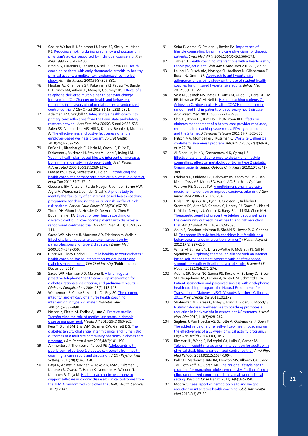- 74 Secker-Walker RH, Solomon LJ, Flynn BS, Skelly JM, Mead PB. Reducing smoking during pregnancy and postpartum: [physician's advice supported by individual counseling.](http://www.ncbi.nlm.nih.gov/pubmed/9612832) *Prev Med* 1998;27(3):422-430.
- 75 Brodin N, Eurenius E, Jensen I, Nisell R, Opava CH. Health [coaching patients with early rheumatoid arthritis to healthy](http://www.ncbi.nlm.nih.gov/pubmed/18311770)  [physical activity: a multicenter, randomized, controlled](http://www.ncbi.nlm.nih.gov/pubmed/18311770)  [study.](http://www.ncbi.nlm.nih.gov/pubmed/18311770) *Arthritis Rheum* 2008;59(3):325-331.
- 76 Hawkes AL, Chambers SK, Pakenham KI, Patrao TA, Baade PD, Lynch BM, Aitken JF, Meng X, Courneya KS[. Effects of a](http://www.ncbi.nlm.nih.gov/pubmed/23690410)  [telephone-delivered multiple health behavior change](http://www.ncbi.nlm.nih.gov/pubmed/23690410)  [intervention \(CanChange\) on health and behavioral](http://www.ncbi.nlm.nih.gov/pubmed/23690410)  [outcomes in survivors of colorectal cancer: a randomized](http://www.ncbi.nlm.nih.gov/pubmed/23690410)  [controlled trial.](http://www.ncbi.nlm.nih.gov/pubmed/23690410) *J Clin Oncol* 2013;31(18):2313-2321.
- <span id="page-21-0"></span>77 Adelman AM, Graybill M. Integrating a health coach into primary care: reflections from the Penn state ambulatory [research network.](http://www.ncbi.nlm.nih.gov/pmc/articles/pmid/16049079/) *Ann Fam Med* 2005;3 Suppl 2:S33-S35.
- <span id="page-21-1"></span>78 Saleh SS, Alameddine MS, Hill D, Darney-Beuhler J, Morgan A[. The effectiveness and cost-effectiveness of a rural](http://www.ncbi.nlm.nih.gov/pubmed/20633094)  [employer-based wellness program.](http://www.ncbi.nlm.nih.gov/pubmed/20633094) *J Rural Health* 2010;26(3):259-265.
- <span id="page-21-2"></span>79 DeBar LL, Ritenbaugh C, Aickin M, Orwoll E, Elliot D, Dickerson J, Vuckovic N, Stevens VJ, Moe E, Irving LM. Youth: a health plan-based lifestyle intervention increases [bone mineral density in adolescent girls.](http://www.ncbi.nlm.nih.gov/pubmed/17146025) *Arch Pediatr Adolesc Med* 2006;160(12):1269-1276.
- <span id="page-21-3"></span>80 Lanese BS, Dey A, Srivastava P, Figler R. Introducing the [health coach at a primary care practice: a pilot study \(part 2\).](http://www.ncbi.nlm.nih.gov/pubmed/21678142) *Hosp Top* 2011;89(2):37-42.
- <span id="page-21-4"></span>81 Goessens BM, Visseren FL, de Nooijer J, van den Borne HW, Algra A, Wierdsma J, van der Graaf Y. A pilot-study to [identify the feasibility of an Internet-based health coaching](http://www.ncbi.nlm.nih.gov/pubmed/18639410)  [programme for changing the vascular risk profile of high](http://www.ncbi.nlm.nih.gov/pubmed/18639410)[risk patients.](http://www.ncbi.nlm.nih.gov/pubmed/18639410) *Patient Educ Couns* 2008;73(1):67-72.
- <span id="page-21-5"></span>82 Thom DH, Ghorob A, Hessler D, De Vore D, Chen E, Bodenheimer TA[. Impact of peer health coaching on](http://www.ncbi.nlm.nih.gov/pmc/articles/pmid/23508600/)  [glycemic control in low-income patients with diabetes: a](http://www.ncbi.nlm.nih.gov/pmc/articles/pmid/23508600/)  [randomized controlled trial.](http://www.ncbi.nlm.nih.gov/pmc/articles/pmid/23508600/) *Ann Fam Med* 2013;11(2):137- 144.
- <span id="page-21-6"></span>83 Sacco WP, Malone JI, Morrison AD, Friedman A, Wells K. Effect of a brief, regular telephone intervention by [paraprofessionals for type 2 diabetes.](http://www.ncbi.nlm.nih.gov/pubmed/19365719) *J Behav Med* 2009;32(4):349-359.
- <span id="page-21-7"></span>84 Cinar AB, Oktay I, Schou L. "Smile healthy to your diabetes": [health coaching-based intervention for oral health and](http://www.ncbi.nlm.nih.gov/pubmed/24362589)  [diabetes management.](http://www.ncbi.nlm.nih.gov/pubmed/24362589) *Clin Oral Investig* (Published online December 2013).
- <span id="page-21-8"></span>85 Sacco WP, Morrison AD, Malone JI. A brief, regular, [proactive telephone "health coaching" intervention for](http://www.ncbi.nlm.nih.gov/pubmed/15120706)  [diabetes: rationale, description, and preliminary results.](http://www.ncbi.nlm.nih.gov/pubmed/15120706) *J Diabetes Complications* 2004;18(2):113-118.
- <span id="page-21-10"></span><span id="page-21-9"></span>86 Whittemore R, Chase S, Mandle CL, Roy SC. The content, [integrity, and efficacy of a nurse health coaching](http://www.ncbi.nlm.nih.gov/pubmed/12211928)  intervention in [type 2 diabetes.](http://www.ncbi.nlm.nih.gov/pubmed/12211928) *Diabetes Educ* 2001;27(6):887-898.
- <span id="page-21-11"></span>87 Nelson K, Pitaro M, Tzellas A, Lum A. Practice profile. [Transforming the role of medical assistants in chronic](http://content.healthaffairs.org/content/29/5/963.long)  [disease management.](http://content.healthaffairs.org/content/29/5/963.long) *Health Aff* 2010;29(5):963-965.
- 88 Fera T, Bluml BM, Ellis WM, Schaller CW, Garrett DG. The [diabetes ten city challenge: interim clinical and humanistic](http://www.ncbi.nlm.nih.gov/pubmed/?term=PMID%3A+18359731)  [outcomes of a multisite community pharmacy diabetes care](http://www.ncbi.nlm.nih.gov/pubmed/?term=PMID%3A+18359731)  [program.](http://www.ncbi.nlm.nih.gov/pubmed/?term=PMID%3A+18359731) *J Am Pharm Assoc* 2008;48(2):181-190.
- 89 Ammentorp J, Thomsen J, Kofoed PE. Adolescents with [poorly controlled type 1 diabetes can benefit from health](http://www.ncbi.nlm.nih.gov/pubmed/23900748)  coaching: [a case report and discussion.](http://www.ncbi.nlm.nih.gov/pubmed/23900748) *J Clin Psychol Med Settings* 2013;20(3):343-350.
- 90 Patja K, Absetz P, Auvinen A, Tokola K, Kytö J, Oksman E, Kuronen R, Ovaska T, Harno K, Nenonen M, Wiklund T, Kettunen R, Talja M. Health coaching by telephony to [support self-care in chronic diseases: clinical outcomes from](http://www.ncbi.nlm.nih.gov/pmc/articles/pmid/22682298/)  [the TERVA randomized controlled trial.](http://www.ncbi.nlm.nih.gov/pmc/articles/pmid/22682298/) *BMC Health Serv Res* 2012;12:147.
- 91 Sebo P, Abetel G, Stalder H, Bovier PA[. Importance of](http://www.ncbi.nlm.nih.gov/pubmed/17043949)  [lifestyle counselling by primary care physicians for diabetic](http://www.ncbi.nlm.nih.gov/pubmed/17043949)  [patients.](http://www.ncbi.nlm.nih.gov/pubmed/17043949) *Swiss Med Wkly* 2006;136(35-36):566-573.
- 92 Tillman J. [Health coaching interventions with a heart-healthy](http://www.ncbi.nlm.nih.gov/pmc/articles/pmid/24278843/)  [Lenoir project client.](http://www.ncbi.nlm.nih.gov/pmc/articles/pmid/24278843/) *Glob Adv Health Med* 2013;2(3):83-86.
- 93 Leung LB, Busch AM, Nottage SL, Arellano N, Glieberman E, Busch NJ, Smith SR. Approach to antihypertensive [adherence: a feasibility study on the use of student health](http://www.ncbi.nlm.nih.gov/pmc/articles/pmid/22356599/)  [coaches for uninsured hypertensive adults.](http://www.ncbi.nlm.nih.gov/pmc/articles/pmid/22356599/) *Behav Med* 2012;38(1):19-27.
- 94 Vale MJ, Jelinek MV, Best JD, Dart AM, Grigg LE, Hare DL, Ho BP, Newman RW, McNeil JJ. Health coaching patients On [Achieving Cardiovascular Health \(COACH\): a multicenter](http://www.ncbi.nlm.nih.gov/pubmed/14662633)  [randomized trial in patients with coronary heart disease.](http://www.ncbi.nlm.nih.gov/pubmed/14662633) *Arch Intern Med* 2003;163(22):2775-2783.
- 95 Cho JH, Kwon HS, Kim HS, Oh JA, Yoon KH. Effects on [diabetes management of a health-care provider mediated,](http://www.ncbi.nlm.nih.gov/pubmed/21933896)  [remote health coaching system via a PDA-type glucometer](http://www.ncbi.nlm.nih.gov/pubmed/21933896)  [and the Internet.](http://www.ncbi.nlm.nih.gov/pubmed/21933896) *J Telemed Telecare* 2011;17(7):365-370.
- 96 Fritsch MA, Montpellier J, Kussman C. Worksite wellness: a [cholesterol awareness program.](http://www.ncbi.nlm.nih.gov/pubmed/19283935) *AAOHN J* 2009;57(2):69-76, quiz 77-78.
- 97 Al-Sinani M, Min Y, Ghebremeskel K, Qazaq HS. [Effectiveness of and adherence to dietary and lifestyle](http://www.ncbi.nlm.nih.gov/pmc/articles/pmid/21509254/)  [counselling: effect on metabolic control in type 2 diabetic](http://www.ncbi.nlm.nih.gov/pmc/articles/pmid/21509254/)  [Omani patients.](http://www.ncbi.nlm.nih.gov/pmc/articles/pmid/21509254/) *Sultan Qaboos Univ Med J* 2010;10(3):341- 349.
- 98 Edelman D, Oddone EZ, Liebowitz RS, Yancy WS Jr, Olsen MK, Jeffreys AS, Moon SD, Harris AC, Smith LL, Quillian-Wolever RE, Gaudet TW. A multidimensional integrative [medicine intervention to improve cardiovascular risk.](http://www.ncbi.nlm.nih.gov/pmc/articles/pmid/16808774/) *J Gen Intern Med* 2006;21(7):728-734.
- 99 Nolan RP, Upshur RE, Lynn H, Crichton T, Rukholm E, Stewart DE, Alter DA, Chessex C, Harvey PJ, Grace SL, Picard L, Michel I, Angus J, Corace K, Barry-Bianchi SM, Chen MH. [Therapeutic benefit of preventive telehealth counseling in](http://www.ncbi.nlm.nih.gov/pubmed/21215382)  the community outreach heart health and risk reduction [trial.](http://www.ncbi.nlm.nih.gov/pubmed/21215382) *Am J Cardiol* 2011;107(5):690-696.
- 100 Aoun S, Osseiran-Moisson R, Shahid S, Howat P, O' Connor M[. Telephone lifestyle health coaching: is it feasible as a](http://www.ncbi.nlm.nih.gov/pubmed/21742725)  [behavioural change intervention for men?](http://www.ncbi.nlm.nih.gov/pubmed/21742725) *J Health Psychol* 2012;17(2):227-236.
- 101 White M, Stinson JN, Lingley-Pottie P, McGrath PJ, Gill N, Vijenthira A. [Exploring therapeutic alliance with an internet](http://www.ncbi.nlm.nih.gov/pubmed/22424081)[based self-management program with brief telephone](http://www.ncbi.nlm.nih.gov/pubmed/22424081)  [support for youth with arthritis: a pilot study.](http://www.ncbi.nlm.nih.gov/pubmed/22424081) *Telemed J E Health* 2012;18(4):271-276.
- 102 Adams SR, Goler NC, Sanna RS, Boccio M, Bellamy DJ, Brown SD, Neugebauer RS, Ferrara A, Wiley DM, Schmittdiel JA. [Patient satisfaction and perceived success with a telephonic](http://www.ncbi.nlm.nih.gov/pmc/articles/pmid/24176083/)  [health coaching program: the Natural Experiments for](http://www.ncbi.nlm.nih.gov/pmc/articles/pmid/24176083/)  [Translation in Diabetes \(NEXT-D\) study, Northern California,](http://www.ncbi.nlm.nih.gov/pmc/articles/pmid/24176083/)  [2011.](http://www.ncbi.nlm.nih.gov/pmc/articles/pmid/24176083/) *Prev Chronic Dis* 2013;10:E179.
- 103 Shahnazari M, Ceresa C, Foley S, Fong A, Zidaru E, Moody S. [Nutrition-focused wellness health coaching promotes a](http://www.ncbi.nlm.nih.gov/pubmed/23706353)  [reduction in body weight in overweight US veterans.](http://www.ncbi.nlm.nih.gov/pubmed/23706353) *J Acad Nutr Diet* 2013;113(7):928-935.
- 104 Seghers J, Van Hoecke AS, Schotte A, Opdenacker J, Boen F. [The added value of a brief self-efficacy health coaching on](http://www.ncbi.nlm.nih.gov/pubmed/23249643)  [the effectiveness of a 12-week physical activity program.](http://www.ncbi.nlm.nih.gov/pubmed/23249643) *J Phys Act Health* 2014;11(1):18-29.
- 105 Rimmer JH, Wang E, Pellegrini CA, Lullo C, Gerber BS. [Telehealth weight management intervention for adults with](http://www.ncbi.nlm.nih.gov/pubmed/24257266)  [physical disabilities: a randomized controlled trial.](http://www.ncbi.nlm.nih.gov/pubmed/24257266) *Am J Phys Med Rehabil* 2013;92(12):1084-1094.
- 106 Ball GD, Mackenzie-Rife KA, Newton MS, Alloway CA, Slack JM, Plotnikoff RC, Goran MI. [One-on-one lifestyle health](http://www.ncbi.nlm.nih.gov/pmc/articles/pmid/22654546/)  [coaching for managing adolescent obesity:](http://www.ncbi.nlm.nih.gov/pmc/articles/pmid/22654546/) findings from a [pilot, randomized controlled trial in a real-world, clinical](http://www.ncbi.nlm.nih.gov/pmc/articles/pmid/22654546/)  [setting.](http://www.ncbi.nlm.nih.gov/pmc/articles/pmid/22654546/) *Paediatr Child Health* 2011;16(6):345-350.
- 107 Moore C. [Case report of hemoglobin a1c](http://www.ncbi.nlm.nih.gov/pmc/articles/pmid/24278844/) and weight [reduction in integrative health coaching.](http://www.ncbi.nlm.nih.gov/pmc/articles/pmid/24278844/) *Glob Adv Health Med* 2013;2(3):87-89.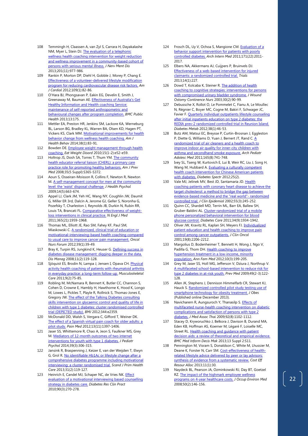- 108 Temmingh H, Claassen A, van Zyl S, Carrara H, Dayakalashe NM, Myer L, Stein DJ. The evaluation of a telephonic [wellness health coaching intervention for weight reduction](http://www.ncbi.nlm.nih.gov/pubmed/24177486)  [and wellness improvement in a community-based cohort of](http://www.ncbi.nlm.nih.gov/pubmed/24177486)  [persons with serious mental illness.](http://www.ncbi.nlm.nih.gov/pubmed/24177486) *J Nerv Ment Dis* 2013;201(11):977-986.
- 109 Rankin P, Morton DP, Diehl H, Gobble J, Morey P, Chang E. [Effectiveness of a volunteer-delivered lifestyle modification](http://www.ncbi.nlm.nih.gov/pubmed/21944675)  [program for reducing cardiovascular disease risk factors.](http://www.ncbi.nlm.nih.gov/pubmed/21944675) *Am J Cardiol* 2012;109(1):82-86.
- 110 O'Hara BJ, Phongsavan P, Eakin EG, Develin E, Smith J, Greenaway M, Bauman AE[. Effectiveness of Australia's Get](http://www.ncbi.nlm.nih.gov/pmc/articles/pmid/23442338/)  [Healthy Information and Health coaching Service:](http://www.ncbi.nlm.nih.gov/pmc/articles/pmid/23442338/)  [maintenance of self-reported anthropometric and](http://www.ncbi.nlm.nih.gov/pmc/articles/pmid/23442338/)  [behavioural changes after program completion.](http://www.ncbi.nlm.nih.gov/pmc/articles/pmid/23442338/) *BMC Public Health* 2013;13:175.
- 111 Mettler EA, Preston HR, Jenkins SM, Lackore KA, Werneburg BL, Larson BG, Bradley KL, Warren BA, Olsen KD, Hagen PT, Vickers KS, Clark MM[. Motivational improvements for health](http://www.ncbi.nlm.nih.gov/pubmed/24034683)  [behavior change from wellness health coaching.](http://www.ncbi.nlm.nih.gov/pubmed/24034683) *Am J Health Behav* 2014;38(1):83-91.
- 112 Bowden DE. Employee weight management through health [coaching.](http://www.ncbi.nlm.nih.gov/pubmed/20571321) *Eat Weight Disord* 2010;15(1-2):e52-e59.
- 113 Holtrop JS, Dosh SA, Torres T, Thum YM. The community [health educator referral liaison \(CHERL\): a primary care](http://www.ncbi.nlm.nih.gov/pubmed/18929983)  [practice role for promoting healthy behaviors.](http://www.ncbi.nlm.nih.gov/pubmed/18929983) *Am J Prev Med* 2008;35(5 Suppl):S365-S372.
- 114 Aoun S, Osseiran-Moisson R, Collins F, Newton R, Newton M[. A self-management concept for men at the community](http://www.ncbi.nlm.nih.gov/pubmed/19515681)  [level: the 'waist' disposal challenge.](http://www.ncbi.nlm.nih.gov/pubmed/19515681) *J Health Psychol* 2009;14(5):663-674.
- Appel LJ, Clark JM, Yeh HC, Wang NY, Coughlin JW, Daumit G, Miller ER 3rd, Dalcin A, Jerome GJ, Geller S, Noronha G, Pozefsky T, Charleston J, Reynolds JB, Durkin N, Rubin RR, Louis TA, Brancati FL. [Comparative effectiveness of weight](http://www.nejm.org/doi/abs/10.1056/NEJMoa1108660?url_ver=Z39.88-2003&rfr_id=ori:rid:crossref.org&rfr_dat=cr_pub%3dwww.ncbi.nlm.nih.gov)[loss interventions in clinical practice.](http://www.nejm.org/doi/abs/10.1056/NEJMoa1108660?url_ver=Z39.88-2003&rfr_id=ori:rid:crossref.org&rfr_dat=cr_pub%3dwww.ncbi.nlm.nih.gov) *N Engl J Med* 2011;365(21):1959-1968.
- 116 Thomas ML, Elliott JE, Rao SM, Fahey KF, Paul SM, Miaskowski C[. A randomized, clinical trial of education or](http://www.ncbi.nlm.nih.gov/pubmed/22201654)  [motivational-interviewing-based health coaching compared](http://www.ncbi.nlm.nih.gov/pubmed/22201654)  [to usual care to improve cancer pain management.](http://www.ncbi.nlm.nih.gov/pubmed/22201654) *Oncol Nurs Forum* 2012;39(1):39-49.
- 117 Bray K, Turpin RS, Jungkind K, Heuser G. Defining success in [diabetes disease management: digging deeper in the data.](http://www.ncbi.nlm.nih.gov/pubmed/18426378) *Dis Manag* 2008;11(2):119-128.
- 118 Sjöquist ES, Brodin N, Lampa J, Jensen I, Opava CH. Physical [activity health coaching of patients with rheumatoid arthritis](http://www.ncbi.nlm.nih.gov/pubmed/21618399)  [in everyday practice: a long-term follow-up.](http://www.ncbi.nlm.nih.gov/pubmed/21618399) *Musculoskeletal Care* 2011;9(2):75-85.
- 119 Robling M, McNamara R, Bennert K, Butler CC, Channon S, Cohen D, Crowne E, Hambly H, Hawthorne K, Hood K, Longo M, Lowes L, Pickles T, Playle R, Rollnick S, Thomas-Jones E, Gregory JW[. The effect of the Talking Diabetes consulting](http://www.ncbi.nlm.nih.gov/pmc/articles/pmid/22539173/)  [skills intervention on glycaemic control and quality of life in](http://www.ncbi.nlm.nih.gov/pmc/articles/pmid/22539173/)  [children with type 1 diabetes: cluster randomised controlled](http://www.ncbi.nlm.nih.gov/pmc/articles/pmid/22539173/)  [trial \(DEPICTED study\).](http://www.ncbi.nlm.nih.gov/pmc/articles/pmid/22539173/) *BMJ* 2012;344:e2359.
- <span id="page-22-0"></span>120 McDonald DD, Walsh S, Vergara C, Gifford T, Weiner DK. The effect of a Spanish virtual pain coach for older adults: a [pilot study.](http://www.ncbi.nlm.nih.gov/pubmed/22994410) *Pain Med* 2012;13(11):1397-1406.
- <span id="page-22-1"></span>121 Jaser SS, Whittemore R, Chao A, Jeon S, Faulkner MS, Grey M[. Mediators of 12-month outcomes of two internet](http://www.ncbi.nlm.nih.gov/pubmed/24163439)  [interventions for youth with type 1 diabetes.](http://www.ncbi.nlm.nih.gov/pubmed/24163439) *J Pediatr Psychol* 2014;39(3):306-315.
- <span id="page-22-3"></span><span id="page-22-2"></span>122 Jansink R, Braspenning J, Keizer E, van der Weijden T, Elwyn G, Grol R[. No identifiable Hb1Ac or lifestyle change after a](http://www.ncbi.nlm.nih.gov/pmc/articles/pmid/23659710/)  [comprehensive diabetes programme including motivational](http://www.ncbi.nlm.nih.gov/pmc/articles/pmid/23659710/)  [interviewing: a cluster randomised trial.](http://www.ncbi.nlm.nih.gov/pmc/articles/pmid/23659710/) *Scand J Prim Health Care* 2013;31(2):119-127.
- 123 Heinrich E, Candel MJ, Schaper NC, de Vries NK. Effect [evaluation of a motivational interviewing based counselling](http://www.ncbi.nlm.nih.gov/pubmed/20950883)  [strategy in diabetes care.](http://www.ncbi.nlm.nih.gov/pubmed/20950883) *Diabetes Res Clin Pract* 2010;90(3):270-278.
- 124 Frosch DL, Uy V, Ochoa S, Mangione CM[. Evaluation of a](http://www.ncbi.nlm.nih.gov/pubmed/21986347)  [behavior support intervention for patients with poorly](http://www.ncbi.nlm.nih.gov/pubmed/21986347)  [controlled diabetes.](http://www.ncbi.nlm.nih.gov/pubmed/21986347) *Arch Intern Med* 2011;171(22):2011- 2017.
- 125 Elbers NA, Akkermans AJ, Cuijpers P, Bruinvels DJ. [Effectiveness of a web-based intervention for injured](http://www.ncbi.nlm.nih.gov/pmc/articles/pmid/23870540/)  [claimants: a randomized controlled trial.](http://www.ncbi.nlm.nih.gov/pmc/articles/pmid/23870540/) *Trials* 2013;14(1):227.
- 126 Dowd T, Kolcaba K, Steiner R. The addition of health [coaching to cognitive strategies: interventions for persons](http://www.ncbi.nlm.nih.gov/pubmed/12658237)  [with compromised urinary bladder syndrome.](http://www.ncbi.nlm.nih.gov/pubmed/12658237) *J Wound Ostomy Continence Nurs* 2003;30(2):90-99.
- 127 Debussche X, Rollot O, Le Pommelet C, Fianu A, Le Moullec N, Régnier C, Boyer MC, Cogne M, Bakiri F, Schwager JC, Favier F[. Quarterly individual outpatients lifestyle counseling](http://www.ncbi.nlm.nih.gov/pubmed/22030240)  [after initial inpatients education on type 2 diabetes: the](http://www.ncbi.nlm.nih.gov/pubmed/22030240)  [REDIA prev-2 randomized controlled trial in Reunion Island.](http://www.ncbi.nlm.nih.gov/pubmed/22030240) *Diabetes Metab* 2012;38(1):46-53.
- 128 Butz AM, Matsui EC, Breysse P, Curtin-Brosnan J, Eggleston P, Diette G, Williams D, Yuan J, Bernert JT, Rand C[. A](http://www.ncbi.nlm.nih.gov/pubmed/21810636)  [randomized trial of air cleaners and a health coach to](http://www.ncbi.nlm.nih.gov/pubmed/21810636)  improve indoor air quality for inner-city children with [asthma and secondhand smoke exposure.](http://www.ncbi.nlm.nih.gov/pubmed/21810636) *Arch Pediatr Adolesc Med* 2011;165(8):741-748.
- 129 Ivey SL, Tseng W, Kurtovich E, Lui B, Weir RC, Liu J, Song H, Wang M, Hubbard A. Evaluating a culturally competent [health coach intervention for Chinese American patients](http://www.ncbi.nlm.nih.gov/pmc/articles/pmid/24311938/)  [with diabetes.](http://www.ncbi.nlm.nih.gov/pmc/articles/pmid/24311938/) *Diabetes Spectr* 2012;25(2).
- 130 Vale MJ, Jelinek MV, Best JD, Santamaria JD[. Health](http://www.ncbi.nlm.nih.gov/pubmed/11864795)  [coaching patients with coronary heart disease to achieve the](http://www.ncbi.nlm.nih.gov/pubmed/11864795)  target cholesterol: a method to bridge the gap between [evidence-based medicine and the "real world"-](http://www.ncbi.nlm.nih.gov/pubmed/11864795) randomized [controlled trial.](http://www.ncbi.nlm.nih.gov/pubmed/11864795) *J Clin Epidemiol* 2002;55(3):245-252.
- 131 Quinn CC, Shardell MD, Terrin ML, Barr EA, Ballew SH, Gruber-Baldini AL. [Cluster-randomized trial of a mobile](http://www.ncbi.nlm.nih.gov/pmc/articles/pmid/21788632/)  [phone personalized behavioral intervention for blood](http://www.ncbi.nlm.nih.gov/pmc/articles/pmid/21788632/)  [glucose control.](http://www.ncbi.nlm.nih.gov/pmc/articles/pmid/21788632/) *Diabetes Care* 2011;34(9):1934-1942.
- 132 Oliver JW, Kravitz RL, Kaplan SH, Meyers FJ. Individualized [patient education and health coaching to improve pain](http://www.ncbi.nlm.nih.gov/pubmed/11304773)  [control among cancer outpatients.](http://www.ncbi.nlm.nih.gov/pubmed/11304773) *J Clin Oncol* 2001;19(8):2206-2212.
- 133 Margolius D, Bodenheimer T, Bennett H, Wong J, Ngo V, Padilla G, Thom DH. Health coaching to improve [hypertension treatment in a low-income, minority](http://www.ncbi.nlm.nih.gov/pmc/articles/pmid/22585883/)  [population.](http://www.ncbi.nlm.nih.gov/pmc/articles/pmid/22585883/) *Ann Fam Med* 2012;10(3):199-205.
- 134 Grey M, Jaser SS, Holl MG, Jefferson V, Dziura J, Northrup V. [A multifaceted school-based intervention to reduce risk for](http://www.ncbi.nlm.nih.gov/pmc/articles/pmid/19643125/)  [type 2 diabetes in at-risk youth.](http://www.ncbi.nlm.nih.gov/pmc/articles/pmid/19643125/) *Prev Med* 2009;49(2-3):122- 128.
- 135 Allen JK, Stephens J, Dennison Himmelfarb CR, Stewart KJ, Hauck S[. Randomized controlled pilot study testing use of](http://www.ncbi.nlm.nih.gov/pmc/articles/pmid/24392223/)  [smartphone technology for obesity treatment.](http://www.ncbi.nlm.nih.gov/pmc/articles/pmid/24392223/) *J Obes* (Published online December 2013).
- 136 Navicharern R, Aungsuroch Y, Thanasilp S. **Effects of** [multifaceted nurse-health coaching intervention on diabetic](http://www.ncbi.nlm.nih.gov/pubmed/19694337)  [complications and satisfaction of persons with type 2](http://www.ncbi.nlm.nih.gov/pubmed/19694337)  [diabetes.](http://www.ncbi.nlm.nih.gov/pubmed/19694337) *J Med Assoc Thai* 2009;92(8):1102-1112.
- 137 Stacey D, Kryworuchko J, Belkora J, Davison B, Durand MA, Eden KB, Hoffman AS, Koerner M, Légaré F, Loiselle MC, Street RL. Health coaching and guidance with patient [decision aids: a review of theoretical and empirical evidence.](http://www.biomedcentral.com/1472-6947/13/S2/S11) *BMC Med Inform Decis Mak* 2013;13 Suppl 2:S11.
- 138 Pennington M, Visram S, Donaldson C, White M, Lhussier M, Deane K, Forster N, Carr SM. [Cost-effectiveness of health](http://www.ncbi.nlm.nih.gov/pubmed/24304826)[related lifestyle advice delivered by peer or lay advisors:](http://www.ncbi.nlm.nih.gov/pubmed/24304826)  [synthesis of evidence from a systematic review.](http://www.ncbi.nlm.nih.gov/pubmed/24304826) *Cost Eff Resour Alloc* 2013;11(1):30.
- 139 Naydeck BL, Pearson JA, Ozminkowski RJ, Day BT, Goetzel RZ. The impact of the highmark employee wellness [programs on 4-year healthcare costs.](http://www.ncbi.nlm.nih.gov/pubmed/?term=PMID%3A+18301171) *J Occup Environ Med* 2008;50(2):146-156.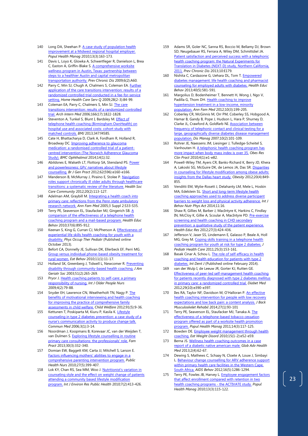- 140 Long DA, Sheehan P[. A case study of population health](http://www.ncbi.nlm.nih.gov/pubmed/20521905)  [improvement at a Midwest regional hospital employer.](http://www.ncbi.nlm.nih.gov/pubmed/20521905) *Popul Health Manag* 2010;13(3):163-173.
- 141 Davis L, Loyo K, Glowka A, Schwertfeger R, Danielson L, Brea C, Easton A, Griffin-Blake S. A comprehensive worksite [wellness program in Austin, Texas: partnership between](http://www.ncbi.nlm.nih.gov/pmc/articles/pmid/19289003/)  [steps to a healthier Austin and capital metropolitan](http://www.ncbi.nlm.nih.gov/pmc/articles/pmid/19289003/)  [transportation authority.](http://www.ncbi.nlm.nih.gov/pmc/articles/pmid/19289003/) *Prev Chronic Dis* 2009;6(2):A60.
- <span id="page-23-1"></span>142 Parry C, Min SJ, Chugh A, Chalmers S, Coleman EA. **Further** [application of the care transitions intervention: results of a](http://www.ncbi.nlm.nih.gov/pubmed/?term=PMID%3A+20182958)  [randomized controlled trial conducted in a fee-for-service](http://www.ncbi.nlm.nih.gov/pubmed/?term=PMID%3A+20182958)  [setting.](http://www.ncbi.nlm.nih.gov/pubmed/?term=PMID%3A+20182958) *Home Health Care Serv Q* 2009;28(2-3):84-99.
- <span id="page-23-2"></span>143 Coleman EA, Parry C, Chalmers S, Min SJ. The care [transitions intervention: results of a randomized controlled](http://www.ncbi.nlm.nih.gov/pubmed/?term=PMID%3A+17000937)  [trial.](http://www.ncbi.nlm.nih.gov/pubmed/?term=PMID%3A+17000937) *Arch Intern Med* 2006;166(17):1822-1828.
- <span id="page-23-3"></span>144 Steventon A, Tunkel S, Blunt I, Bardsley M. **Effect of** [telephone health coaching \(Birmingham OwnHealth\) on](http://www.ncbi.nlm.nih.gov/pmc/articles/pmid/23920348/)  [hospital use and associated costs: cohort study with](http://www.ncbi.nlm.nih.gov/pmc/articles/pmid/23920348/)  [matched controls.](http://www.ncbi.nlm.nih.gov/pmc/articles/pmid/23920348/) *BMJ* 2013;347:f4585.
- <span id="page-23-4"></span>145 Cate H, Bhattacharya D, Clark A, Fordham R, Holland R, Broadway DC. **Improving adherence to glaucoma** [medication: a randomised controlled trial of a patient](http://www.biomedcentral.com/1471-2415/14/32)[centred intervention \(The Norwich Adherence Glaucoma](http://www.biomedcentral.com/1471-2415/14/32)  [Study\).](http://www.biomedcentral.com/1471-2415/14/32) *BMC Ophthalmol* 2014;14(1):32.
- <span id="page-23-5"></span>146 Abildsnes E, Walseth LT, Flottorp SA, Stensland PS. Power [and powerlessness: GPs' narratives about lifestyle](http://www.ncbi.nlm.nih.gov/pmc/articles/pmid/22429431/)  [counselling.](http://www.ncbi.nlm.nih.gov/pmc/articles/pmid/22429431/) *Br J Gen Pract* 2012;62(596):e160-e166.
- 147 Manderson B, McMurray J, Piraino E, Stolee P. Navigation [roles support chronically ill older adults through healthcare](http://www.ncbi.nlm.nih.gov/pubmed/21995806)  [transitions: a systematic review of the literature.](http://www.ncbi.nlm.nih.gov/pubmed/21995806) *Health Soc Care Community* 2012;20(2):113-127.
- 148 Adelman AM, Graybill M. [Integrating a health coach into](http://www.ncbi.nlm.nih.gov/pmc/articles/pmid/16049079/)  [primary care: reflections from the Penn state ambulatory](http://www.ncbi.nlm.nih.gov/pmc/articles/pmid/16049079/)  [research network.](http://www.ncbi.nlm.nih.gov/pmc/articles/pmid/16049079/) *Ann Fam Med* 2005;3 Suppl 2:S33-S35.
- 149 Terry PE, Seaverson EL, Staufacker MJ, Gingerich SB. A [comparison of the effectiveness of a telephone health](http://www.ncbi.nlm.nih.gov/pubmed/20980535)  [coaching program and a mail-based program.](http://www.ncbi.nlm.nih.gov/pubmed/20980535) *Health Educ Behav* 2010;37(6):895-912.
- 150 Keenan S, King G, Curran CJ, McPherson A. **Effectiveness of** [experiential life skills health coaching for youth with a](http://www.ncbi.nlm.nih.gov/pubmed/24168108)  [disability.](http://www.ncbi.nlm.nih.gov/pubmed/24168108) *Phys Occup Ther Pediatr* (Published online October 2013).
- 151 Befort CA, Donnelly JE, Sullivan DK, Ellerbeck EF, Perri MG. [Group versus individual phone-based obesity treatment for](http://www.ncbi.nlm.nih.gov/pmc/articles/pmid/19962115/)  [rural women.](http://www.ncbi.nlm.nih.gov/pmc/articles/pmid/19962115/) *Eat Behav* 2010;11(1):11-17.
- 152 Holland SK, Greenberg J, Tidwell L, Newcomer R. Preventing [disability through community-based health coaching.](http://www.ncbi.nlm.nih.gov/pubmed/12558726) *J Am Geriatr Soc* 2003;51(2):265-269.
- 153 Pryor J. Health coaching patients to self-care: a primary [responsibility of nursing.](http://www.ncbi.nlm.nih.gov/pubmed/20925807) *Int J Older People Nurs* 2009;4(2):79-88.
- 154 Snyder EH, Lawrence CN, Weatherholt TN, Nagy P. The [benefits of motivational interviewing and health coaching](http://www.ncbi.nlm.nih.gov/pubmed/24205549)  [for improving the practice of comprehensive family](http://www.ncbi.nlm.nih.gov/pubmed/24205549)  [assessments in child welfare.](http://www.ncbi.nlm.nih.gov/pubmed/24205549) *Child Welfare* 2012;91(5):9-36.
- 155 Kettunen T, Poskiparta M, Kiuru P, Kasila K. Lifestyle [counseling in type 2 diabetes prevention: a case study of a](http://www.ncbi.nlm.nih.gov/pubmed/16808421)  [nurse's communication activity to produce change talk.](http://www.ncbi.nlm.nih.gov/pubmed/16808421) *Commun Med* 2006;3(1):3-14.
- 156 Noordman J, Koopmans B, Korevaar JC, van der Weijden T, van Dulmen S[. Exploring lifestyle counselling in routine](http://www.ncbi.nlm.nih.gov/pubmed/23221102)  [primary care consultations: the professionals' role.](http://www.ncbi.nlm.nih.gov/pubmed/23221102) *Fam Pract* 2013;30(3):332-340.
- 157 Domian EW, Baggett KM, Carta JJ, Mitchell S, Larson E. [Factors influencing mothers' abilities to engage in a](http://www.ncbi.nlm.nih.gov/pubmed/20840709)  [comprehensive parenting intervention program.](http://www.ncbi.nlm.nih.gov/pubmed/20840709) *Public Health Nurs* 2010;27(5):399-407.
- <span id="page-23-0"></span>158 Lok KY, Chan RS, Sea MM, Woo J. Nutritionist's variation in [counseling style and the effect on weight change of patients](http://www.ncbi.nlm.nih.gov/pmc/articles/pmid/20616982/)  [attending a community based lifestyle modification](http://www.ncbi.nlm.nih.gov/pmc/articles/pmid/20616982/)  [program.](http://www.ncbi.nlm.nih.gov/pmc/articles/pmid/20616982/) *Int J Environ Res Public Health* 2010;7(2):413-426.
- 159 Adams SR, Goler NC, Sanna RS, Boccio M, Bellamy DJ, Brown SD, Neugebauer RS, Ferrara A, Wiley DM, Schmittdiel JA. Patient satisfaction and perceived success with a telephonic [health coaching program: the Natural Experiments for](http://www.ncbi.nlm.nih.gov/pmc/articles/pmid/24176083/)  [Translation in Diabetes \(NEXT-D\) study, Northern California,](http://www.ncbi.nlm.nih.gov/pmc/articles/pmid/24176083/)  [2011.](http://www.ncbi.nlm.nih.gov/pmc/articles/pmid/24176083/) *Prev Chronic Dis* 2013;10:E179.
- 160 Nishita C, Cardazone G, Uehara DL, Tom T. Empowered [diabetes management: life health coaching and pharmacist](http://www.ncbi.nlm.nih.gov/pubmed/23174629)  [counseling for employed adults with diabetes.](http://www.ncbi.nlm.nih.gov/pubmed/23174629) *Health Educ Behav* 2013;40(5):581-591.
- 161 Margolius D, Bodenheimer T, Bennett H, Wong J, Ngo V, Padilla G, Thom DH. Health coaching to improve [hypertension treatment in a low-income, minority](http://www.ncbi.nlm.nih.gov/pmc/articles/pmid/22585883/)  [population.](http://www.ncbi.nlm.nih.gov/pmc/articles/pmid/22585883/) *Ann Fam Med* 2012;10(3):199-205.
- 162 Coberley CR, McGinnis M, Orr PM, Coberley SS, Hobgood A, Hamar B, Gandy B, Pope J, Hudson L, Hara P, Shurney D, Clarke JL, Crawford A, Goldfarb NI[. Association between](http://www.ncbi.nlm.nih.gov/pubmed/17444795)  [frequency of telephonic contact and clinical testing for a](http://www.ncbi.nlm.nih.gov/pubmed/17444795)  [large, geographically diverse diabetes disease management](http://www.ncbi.nlm.nih.gov/pubmed/17444795)  [population.](http://www.ncbi.nlm.nih.gov/pubmed/17444795) *Dis Manag* 2007;10(2):101-109.
- 163 Rohrer JE, Naessens JM, Liesinger J, Tulledge-Scheitel S, Vanhouten H. A telephonic health coaching program has [more impact when body mass index is over 35.](http://www.ncbi.nlm.nih.gov/pubmed/24345628) *Obes Res Clin Pract* 2010;4(1):e1-e82.
- 164 Powell-Wiley TM, Ayers CR, Banks-Richard K, Berry JD, Khera A, Lakoski SG, McGuire DK, de Lemos JA, Das SR[. Disparities](http://www.ncbi.nlm.nih.gov/pmc/articles/pmid/21818156/)  [in counseling for lifestyle modification among obese adults:](http://www.ncbi.nlm.nih.gov/pmc/articles/pmid/21818156/)  [insights from the Dallas heart study.](http://www.ncbi.nlm.nih.gov/pmc/articles/pmid/21818156/) *Obesity* 2012;20(4):849- 855.
- 165 Venditti EM, Wylie-Rosett J, Delahanty LM, Mele L, Hoskin MA, Edelstein SL. [Short and long-term lifestyle health](http://www.ncbi.nlm.nih.gov/pubmed/24521153)  [coaching approaches used to address diverse participant](http://www.ncbi.nlm.nih.gov/pubmed/24521153)  [barriers to weight loss and physical activity adherence.](http://www.ncbi.nlm.nih.gov/pubmed/24521153) *Int J Behav Nutr Phys Act* 2014;11:16.
- 166 Shaw R, Gillies M, Barber J, MacIntyre K, Harkins C, Findlay IN, McCloy K, Gillie A, Scoular A, MacIntyre PD[. Pre-exercise](http://www.ncbi.nlm.nih.gov/pubmed/22313621)  screening and health coaching in CHD secondary [prevention: a qualitative study of the patient experience.](http://www.ncbi.nlm.nih.gov/pubmed/22313621) *Health Educ Res* 2012;27(3):424-436.
- 167 Jefferson V, Jaser SS, Lindemann E, Galasso P, Beale A, Holl MG, Grey M[. Coping skills training in a telephone health](http://www.ncbi.nlm.nih.gov/pmc/articles/pmid/21514490/)  [coaching program for youth at risk for type 2 diabetes.](http://www.ncbi.nlm.nih.gov/pmc/articles/pmid/21514490/) *J Pediatr Health Care* 2011;25(3):153-161.
- 168 Basak Cinar A, Schou L. The role of self-efficacy in health [coaching and health education](http://www.ncbi.nlm.nih.gov/pubmed/24571189) for patients with type 2 [diabetes.](http://www.ncbi.nlm.nih.gov/pubmed/24571189) *Int Dent J* (Published online February 2014).
- 169 van der Wulp I, de Leeuw JR, Gorter KJ, Rutten GE. [Effectiveness of peer-led self-management health coaching](http://www.ncbi.nlm.nih.gov/pubmed/22414198)  for [patients recently diagnosed with type 2 diabetes mellitus](http://www.ncbi.nlm.nih.gov/pubmed/22414198)  [in primary care: a randomized controlled trial.](http://www.ncbi.nlm.nih.gov/pubmed/22414198) *Diabet Med* 2012;29(10):e390-e397.
- 170 Iles RA, Taylor NF, Davidson M, O'Halloran P. An effective [health coaching intervention for people with low recovery](http://www.ncbi.nlm.nih.gov/pubmed/23948852)  [expectations and low back pain: a content analysis.](http://www.ncbi.nlm.nih.gov/pubmed/23948852) *J Back Musculoskelet Rehabil* 2014;27(1):93-101
- 171 Terry PE, Seaverson EL, Staufacker MJ, Tanaka A. The [effectiveness of a telephone-based tobacco cessation](http://www.ncbi.nlm.nih.gov/pubmed/21323463)  [program offered as part of a worksite health promotion](http://www.ncbi.nlm.nih.gov/pubmed/21323463)  [program.](http://www.ncbi.nlm.nih.gov/pubmed/21323463) *Popul Health Manag* 2011;14(3):117-125.
- 172 Bowden DE. Employee weight management through health [coaching.](http://www.ncbi.nlm.nih.gov/pubmed/20571321) *Eat Weight Disord* 2010;15(1-2):e52-e59.
- 173 Berna JS. Wellness health coaching outcomes in a case [report of a diabetic native american male.](http://www.ncbi.nlm.nih.gov/pmc/articles/pmid/24278846/) *Glob Adv Health Med* 2013;2(4):62-67.
- 174 Dewing S, Mathews C, Schaay N, Cloete A, Louw J, Simbayi L[. Behaviour change counselling for ARV adherence support](http://www.ncbi.nlm.nih.gov/pubmed/21983698)  within primary health care facilities in the Western Cape, [South Africa.](http://www.ncbi.nlm.nih.gov/pubmed/21983698) *AIDS Behav* 2012;16(5):1286-1294.
- 175 Terry PE, Fowles JB, Harvey L. **Employee engagement factors** [that affect enrollment compared with retention in two](http://www.ncbi.nlm.nih.gov/pubmed/20521904)  health [coaching programs -](http://www.ncbi.nlm.nih.gov/pubmed/20521904) the ACTIVATE study. *Popul Health Manag* 2010;13(3):115-122.